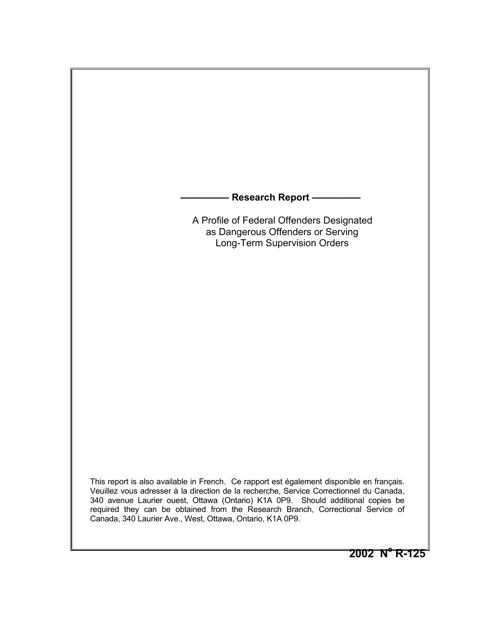**- Research Report —** 

 A Profile of Federal Offenders Designated as Dangerous Offenders or Serving Long-Term Supervision Orders

This report is also available in French. Ce rapport est également disponible en français. Veuillez vous adresser à la direction de la recherche, Service Correctionnel du Canada, 340 avenue Laurier ouest, Ottawa (Ontario) K1A 0P9. Should additional copies be required they can be obtained from the Research Branch, Correctional Service of Canada, 340 Laurier Ave., West, Ottawa, Ontario, K1A 0P9.

**2002 No R-125**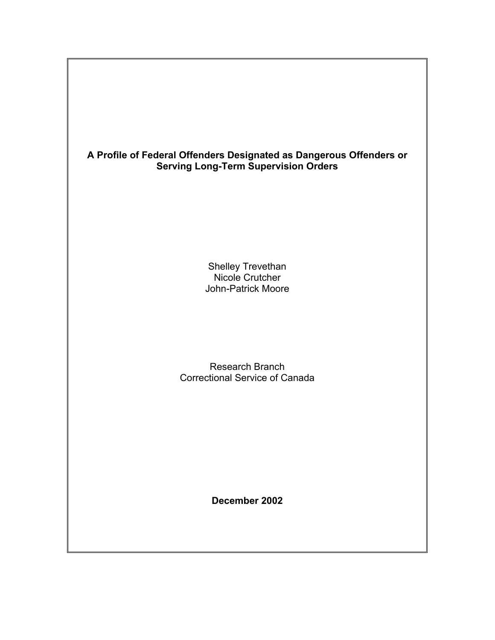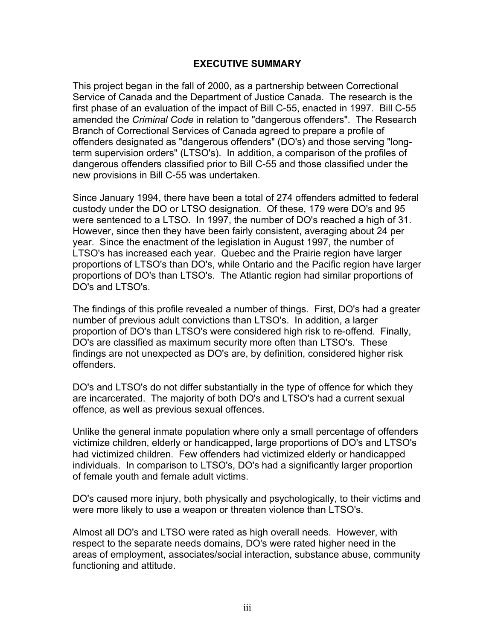#### <span id="page-2-0"></span>**EXECUTIVE SUMMARY**

This project began in the fall of 2000, as a partnership between Correctional Service of Canada and the Department of Justice Canada. The research is the first phase of an evaluation of the impact of Bill C-55, enacted in 1997. Bill C-55 amended the *Criminal Code* in relation to "dangerous offenders". The Research Branch of Correctional Services of Canada agreed to prepare a profile of offenders designated as "dangerous offenders" (DO's) and those serving "longterm supervision orders" (LTSO's). In addition, a comparison of the profiles of dangerous offenders classified prior to Bill C-55 and those classified under the new provisions in Bill C-55 was undertaken.

Since January 1994, there have been a total of 274 offenders admitted to federal custody under the DO or LTSO designation. Of these, 179 were DO's and 95 were sentenced to a LTSO. In 1997, the number of DO's reached a high of 31. However, since then they have been fairly consistent, averaging about 24 per year. Since the enactment of the legislation in August 1997, the number of LTSO's has increased each year. Quebec and the Prairie region have larger proportions of LTSO's than DO's, while Ontario and the Pacific region have larger proportions of DO's than LTSO's. The Atlantic region had similar proportions of DO's and LTSO's.

The findings of this profile revealed a number of things. First, DO's had a greater number of previous adult convictions than LTSO's. In addition, a larger proportion of DO's than LTSO's were considered high risk to re-offend. Finally, DO's are classified as maximum security more often than LTSO's. These findings are not unexpected as DO's are, by definition, considered higher risk offenders.

DO's and LTSO's do not differ substantially in the type of offence for which they are incarcerated. The majority of both DO's and LTSO's had a current sexual offence, as well as previous sexual offences.

Unlike the general inmate population where only a small percentage of offenders victimize children, elderly or handicapped, large proportions of DO's and LTSO's had victimized children. Few offenders had victimized elderly or handicapped individuals. In comparison to LTSO's, DO's had a significantly larger proportion of female youth and female adult victims.

DO's caused more injury, both physically and psychologically, to their victims and were more likely to use a weapon or threaten violence than LTSO's.

Almost all DO's and LTSO were rated as high overall needs. However, with respect to the separate needs domains, DO's were rated higher need in the areas of employment, associates/social interaction, substance abuse, community functioning and attitude.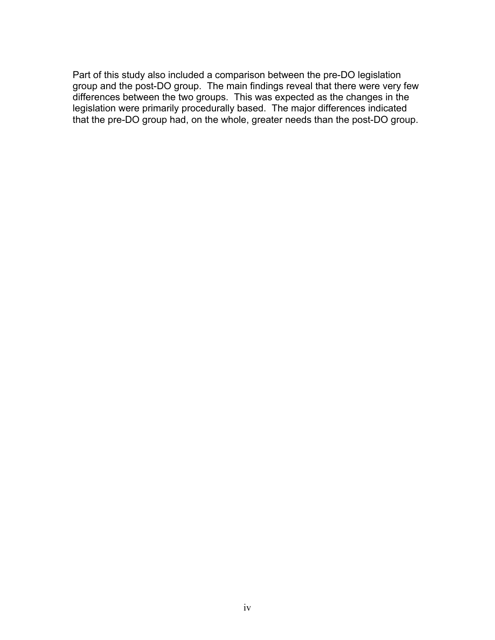Part of this study also included a comparison between the pre-DO legislation group and the post-DO group. The main findings reveal that there were very few differences between the two groups. This was expected as the changes in the legislation were primarily procedurally based. The major differences indicated that the pre-DO group had, on the whole, greater needs than the post-DO group.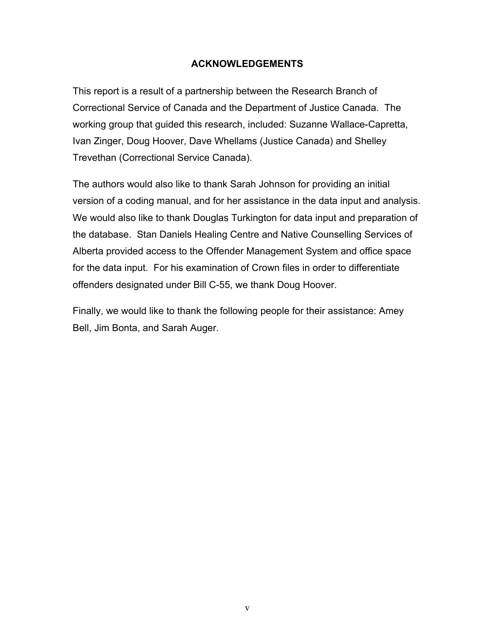#### <span id="page-4-0"></span>**ACKNOWLEDGEMENTS**

This report is a result of a partnership between the Research Branch of Correctional Service of Canada and the Department of Justice Canada. The working group that guided this research, included: Suzanne Wallace-Capretta, Ivan Zinger, Doug Hoover, Dave Whellams (Justice Canada) and Shelley Trevethan (Correctional Service Canada).

The authors would also like to thank Sarah Johnson for providing an initial version of a coding manual, and for her assistance in the data input and analysis. We would also like to thank Douglas Turkington for data input and preparation of the database. Stan Daniels Healing Centre and Native Counselling Services of Alberta provided access to the Offender Management System and office space for the data input. For his examination of Crown files in order to differentiate offenders designated under Bill C-55, we thank Doug Hoover.

Finally, we would like to thank the following people for their assistance: Amey Bell, Jim Bonta, and Sarah Auger.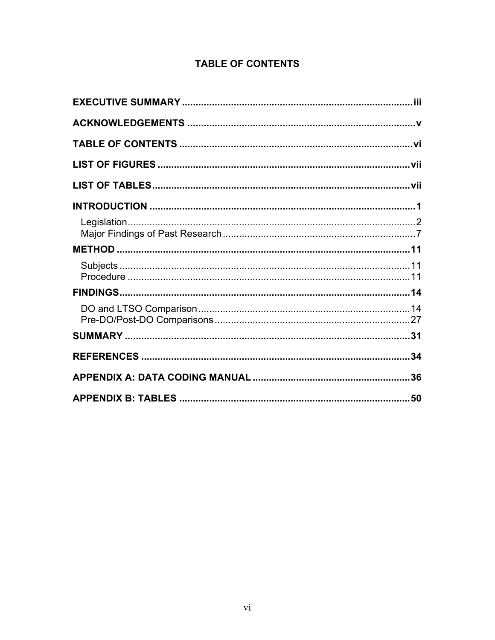## <span id="page-5-0"></span>**TABLE OF CONTENTS**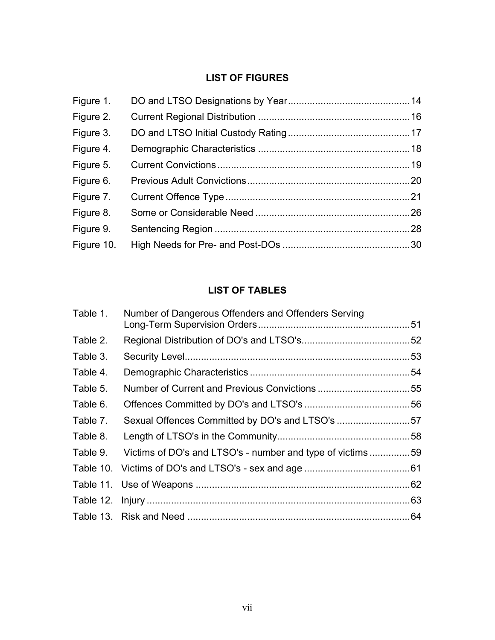## <span id="page-6-0"></span>**LIST OF FIGURES**

## <span id="page-6-1"></span>**LIST OF TABLES**

| Table 1. | Number of Dangerous Offenders and Offenders Serving       |  |
|----------|-----------------------------------------------------------|--|
| Table 2. |                                                           |  |
| Table 3. |                                                           |  |
| Table 4. |                                                           |  |
| Table 5. |                                                           |  |
| Table 6. |                                                           |  |
| Table 7. | Sexual Offences Committed by DO's and LTSO's 57           |  |
| Table 8. |                                                           |  |
| Table 9. | Victims of DO's and LTSO's - number and type of victims59 |  |
|          |                                                           |  |
|          |                                                           |  |
|          |                                                           |  |
|          |                                                           |  |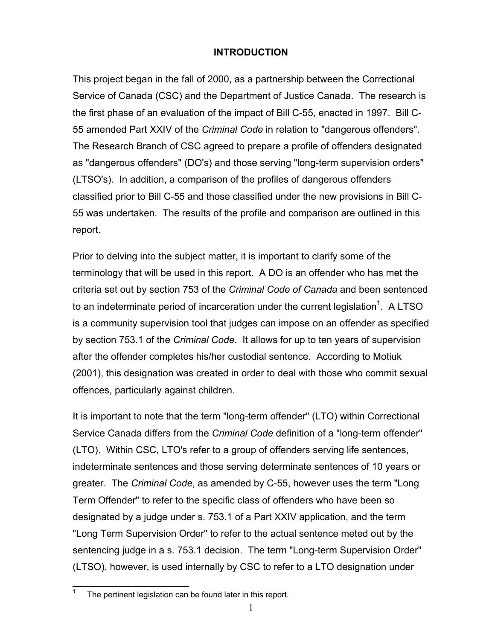#### <span id="page-7-0"></span>**INTRODUCTION**

This project began in the fall of 2000, as a partnership between the Correctional Service of Canada (CSC) and the Department of Justice Canada. The research is the first phase of an evaluation of the impact of Bill C-55, enacted in 1997. Bill C-55 amended Part XXIV of the *Criminal Code* in relation to "dangerous offenders". The Research Branch of CSC agreed to prepare a profile of offenders designated as "dangerous offenders" (DO's) and those serving "long-term supervision orders" (LTSO's). In addition, a comparison of the profiles of dangerous offenders classified prior to Bill C-55 and those classified under the new provisions in Bill C-55 was undertaken. The results of the profile and comparison are outlined in this report.

Prior to delving into the subject matter, it is important to clarify some of the terminology that will be used in this report. A DO is an offender who has met the criteria set out by section 753 of the *Criminal Code of Canada* and been sentenced to an indeterminate period of incarceration under the current legislation<sup>[1](#page-7-1)</sup>. A LTSO is a community supervision tool that judges can impose on an offender as specified by section 753.1 of the *Criminal Code*. It allows for up to ten years of supervision after the offender completes his/her custodial sentence. According to Motiuk (2001), this designation was created in order to deal with those who commit sexual offences, particularly against children.

It is important to note that the term "long-term offender" (LTO) within Correctional Service Canada differs from the *Criminal Code* definition of a "long-term offender" (LTO). Within CSC, LTO's refer to a group of offenders serving life sentences, indeterminate sentences and those serving determinate sentences of 10 years or greater. The *Criminal Code*, as amended by C-55, however uses the term "Long Term Offender" to refer to the specific class of offenders who have been so designated by a judge under s. 753.1 of a Part XXIV application, and the term "Long Term Supervision Order" to refer to the actual sentence meted out by the sentencing judge in a s. 753.1 decision. The term "Long-term Supervision Order" (LTSO), however, is used internally by CSC to refer to a LTO designation under

<span id="page-7-1"></span> $\overline{\phantom{a}}$ The pertinent legislation can be found later in this report.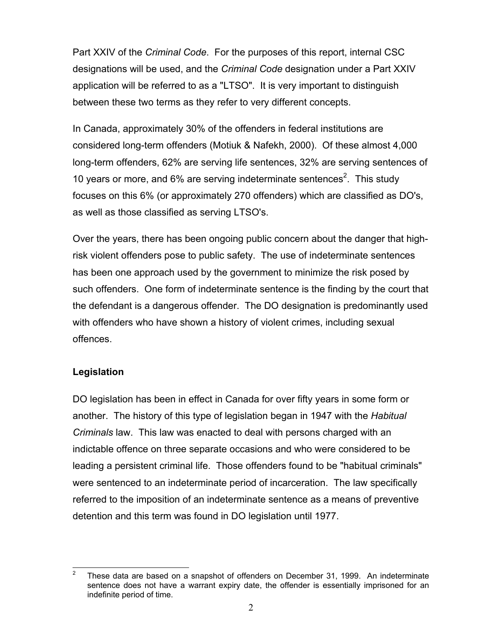Part XXIV of the *Criminal Code*. For the purposes of this report, internal CSC designations will be used, and the *Criminal Code* designation under a Part XXIV application will be referred to as a "LTSO". It is very important to distinguish between these two terms as they refer to very different concepts.

In Canada, approximately 30% of the offenders in federal institutions are considered long-term offenders (Motiuk & Nafekh, 2000). Of these almost 4,000 long-term offenders, 62% are serving life sentences, 32% are serving sentences of 10 years or more, and  $6\%$  are serving indeterminate sentences<sup>[2](#page-8-1)</sup>. This study focuses on this 6% (or approximately 270 offenders) which are classified as DO's, as well as those classified as serving LTSO's.

Over the years, there has been ongoing public concern about the danger that highrisk violent offenders pose to public safety. The use of indeterminate sentences has been one approach used by the government to minimize the risk posed by such offenders. One form of indeterminate sentence is the finding by the court that the defendant is a dangerous offender. The DO designation is predominantly used with offenders who have shown a history of violent crimes, including sexual offences.

### <span id="page-8-0"></span>**Legislation**

DO legislation has been in effect in Canada for over fifty years in some form or another. The history of this type of legislation began in 1947 with the *Habitual Criminals* law. This law was enacted to deal with persons charged with an indictable offence on three separate occasions and who were considered to be leading a persistent criminal life. Those offenders found to be "habitual criminals" were sentenced to an indeterminate period of incarceration. The law specifically referred to the imposition of an indeterminate sentence as a means of preventive detention and this term was found in DO legislation until 1977.

<span id="page-8-1"></span> $\overline{a}$ <sup>2</sup> These data are based on a snapshot of offenders on December 31, 1999. An indeterminate sentence does not have a warrant expiry date, the offender is essentially imprisoned for an indefinite period of time.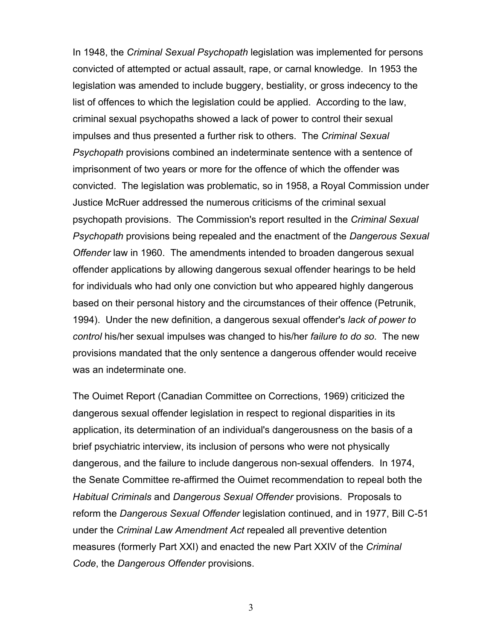In 1948, the *Criminal Sexual Psychopath* legislation was implemented for persons convicted of attempted or actual assault, rape, or carnal knowledge. In 1953 the legislation was amended to include buggery, bestiality, or gross indecency to the list of offences to which the legislation could be applied. According to the law, criminal sexual psychopaths showed a lack of power to control their sexual impulses and thus presented a further risk to others. The *Criminal Sexual Psychopath* provisions combined an indeterminate sentence with a sentence of imprisonment of two years or more for the offence of which the offender was convicted. The legislation was problematic, so in 1958, a Royal Commission under Justice McRuer addressed the numerous criticisms of the criminal sexual psychopath provisions. The Commission's report resulted in the *Criminal Sexual Psychopath* provisions being repealed and the enactment of the *Dangerous Sexual Offender* law in 1960. The amendments intended to broaden dangerous sexual offender applications by allowing dangerous sexual offender hearings to be held for individuals who had only one conviction but who appeared highly dangerous based on their personal history and the circumstances of their offence (Petrunik, 1994). Under the new definition, a dangerous sexual offender's *lack of power to control* his/her sexual impulses was changed to his/her *failure to do so*. The new provisions mandated that the only sentence a dangerous offender would receive was an indeterminate one.

The Ouimet Report (Canadian Committee on Corrections, 1969) criticized the dangerous sexual offender legislation in respect to regional disparities in its application, its determination of an individual's dangerousness on the basis of a brief psychiatric interview, its inclusion of persons who were not physically dangerous, and the failure to include dangerous non-sexual offenders. In 1974, the Senate Committee re-affirmed the Ouimet recommendation to repeal both the *Habitual Criminals* and *Dangerous Sexual Offender* provisions. Proposals to reform the *Dangerous Sexual Offender* legislation continued, and in 1977, Bill C-51 under the *Criminal Law Amendment Act* repealed all preventive detention measures (formerly Part XXI) and enacted the new Part XXIV of the *Criminal Code*, the *Dangerous Offender* provisions.

3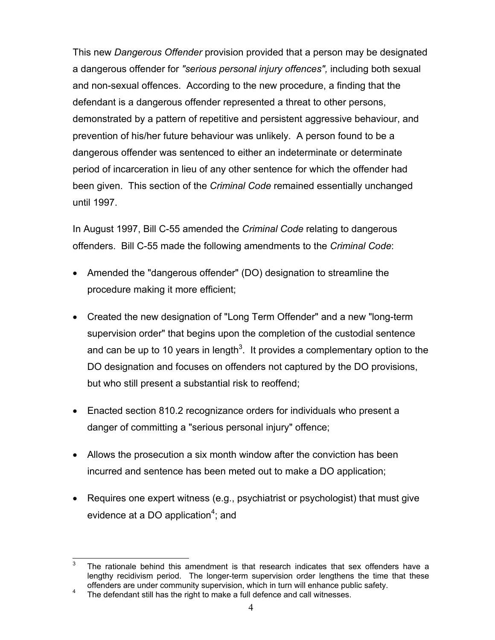This new *Dangerous Offender* provision provided that a person may be designated a dangerous offender for *"serious personal injury offences",* including both sexual and non-sexual offences. According to the new procedure, a finding that the defendant is a dangerous offender represented a threat to other persons, demonstrated by a pattern of repetitive and persistent aggressive behaviour, and prevention of his/her future behaviour was unlikely. A person found to be a dangerous offender was sentenced to either an indeterminate or determinate period of incarceration in lieu of any other sentence for which the offender had been given. This section of the *Criminal Code* remained essentially unchanged until 1997.

In August 1997, Bill C-55 amended the *Criminal Code* relating to dangerous offenders. Bill C-55 made the following amendments to the *Criminal Code*:

- Amended the "dangerous offender" (DO) designation to streamline the procedure making it more efficient;
- Created the new designation of "Long Term Offender" and a new "long-term supervision order" that begins upon the completion of the custodial sentence and can be up to 10 years in length<sup>3</sup>. It provides a complementary option to the DO designation and focuses on offenders not captured by the DO provisions, but who still present a substantial risk to reoffend;
- Enacted section 810.2 recognizance orders for individuals who present a danger of committing a "serious personal injury" offence;
- Allows the prosecution a six month window after the conviction has been incurred and sentence has been meted out to make a DO application;
- Requires one expert witness (e.g., psychiatrist or psychologist) that must give evidence at a DO application<sup>[4](#page-10-1)</sup>; and

<span id="page-10-0"></span> $\overline{3}$ The rationale behind this amendment is that research indicates that sex offenders have a lengthy recidivism period. The longer-term supervision order lengthens the time that these offenders are under community supervision, which in turn will enhance public safety.<br><sup>4</sup> The defendant still has the right to make a full defence and call witnesses.

<span id="page-10-1"></span>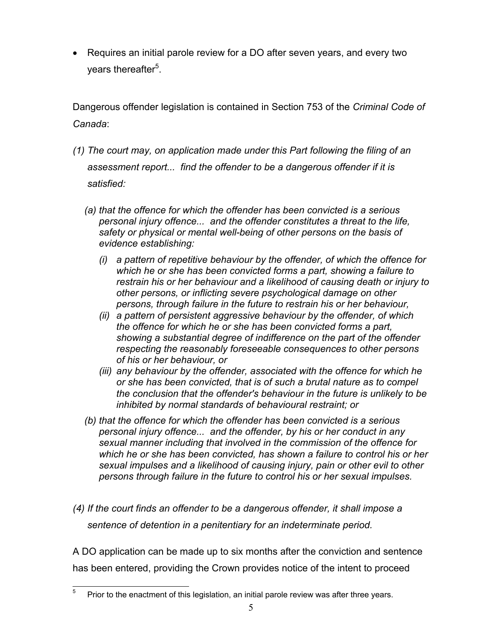• Requires an initial parole review for a DO after seven years, and every two years thereafter<sup>5</sup>.

Dangerous offender legislation is contained in Section 753 of the *Criminal Code of Canada*:

- *(1) The court may, on application made under this Part following the filing of an assessment report... find the offender to be a dangerous offender if it is satisfied:*
	- *(a) that the offence for which the offender has been convicted is a serious personal injury offence... and the offender constitutes a threat to the life, safety or physical or mental well-being of other persons on the basis of evidence establishing:*
		- *(i) a pattern of repetitive behaviour by the offender, of which the offence for which he or she has been convicted forms a part, showing a failure to restrain his or her behaviour and a likelihood of causing death or injury to other persons, or inflicting severe psychological damage on other persons, through failure in the future to restrain his or her behaviour,*
		- *(ii) a pattern of persistent aggressive behaviour by the offender, of which the offence for which he or she has been convicted forms a part, showing a substantial degree of indifference on the part of the offender respecting the reasonably foreseeable consequences to other persons of his or her behaviour, or*
		- *(iii) any behaviour by the offender, associated with the offence for which he or she has been convicted, that is of such a brutal nature as to compel the conclusion that the offender's behaviour in the future is unlikely to be inhibited by normal standards of behavioural restraint; or*
	- *(b) that the offence for which the offender has been convicted is a serious personal injury offence... and the offender, by his or her conduct in any sexual manner including that involved in the commission of the offence for which he or she has been convicted, has shown a failure to control his or her sexual impulses and a likelihood of causing injury, pain or other evil to other persons through failure in the future to control his or her sexual impulses.*
- *(4) If the court finds an offender to be a dangerous offender, it shall impose a sentence of detention in a penitentiary for an indeterminate period.*

A DO application can be made up to six months after the conviction and sentence has been entered, providing the Crown provides notice of the intent to proceed

<span id="page-11-0"></span><sup>5</sup> Prior to the enactment of this legislation, an initial parole review was after three years.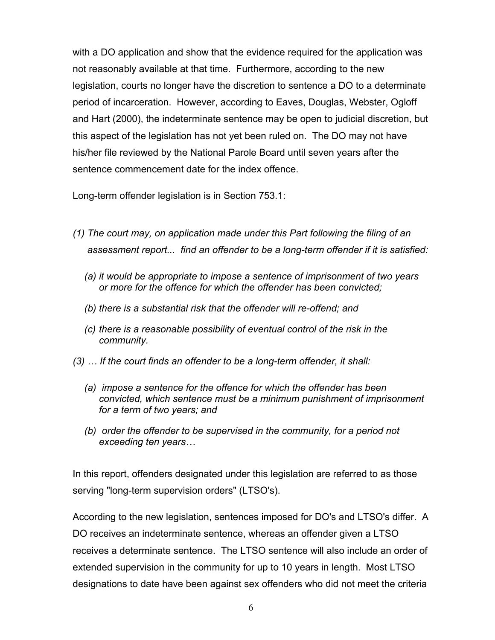with a DO application and show that the evidence required for the application was not reasonably available at that time. Furthermore, according to the new legislation, courts no longer have the discretion to sentence a DO to a determinate period of incarceration. However, according to Eaves, Douglas, Webster, Ogloff and Hart (2000), the indeterminate sentence may be open to judicial discretion, but this aspect of the legislation has not yet been ruled on. The DO may not have his/her file reviewed by the National Parole Board until seven years after the sentence commencement date for the index offence.

Long-term offender legislation is in Section 753.1:

- *(1) The court may, on application made under this Part following the filing of an assessment report... find an offender to be a long-term offender if it is satisfied:*
	- *(a) it would be appropriate to impose a sentence of imprisonment of two years or more for the offence for which the offender has been convicted;*
	- *(b) there is a substantial risk that the offender will re-offend; and*
	- *(c) there is a reasonable possibility of eventual control of the risk in the community.*
- *(3) … If the court finds an offender to be a long-term offender, it shall:*
	- *(a) impose a sentence for the offence for which the offender has been convicted, which sentence must be a minimum punishment of imprisonment for a term of two years; and*
	- *(b) order the offender to be supervised in the community, for a period not exceeding ten years…*

In this report, offenders designated under this legislation are referred to as those serving "long-term supervision orders" (LTSO's).

According to the new legislation, sentences imposed for DO's and LTSO's differ. A DO receives an indeterminate sentence, whereas an offender given a LTSO receives a determinate sentence. The LTSO sentence will also include an order of extended supervision in the community for up to 10 years in length. Most LTSO designations to date have been against sex offenders who did not meet the criteria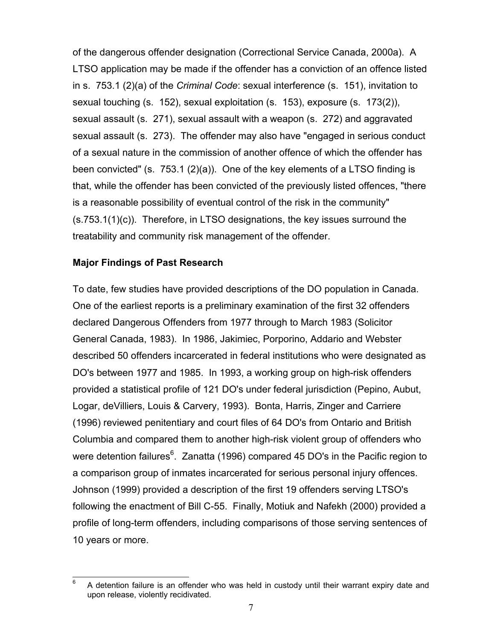of the dangerous offender designation (Correctional Service Canada, 2000a). A LTSO application may be made if the offender has a conviction of an offence listed in s. 753.1 (2)(a) of the *Criminal Code*: sexual interference (s. 151), invitation to sexual touching (s. 152), sexual exploitation (s. 153), exposure (s. 173(2)), sexual assault (s. 271), sexual assault with a weapon (s. 272) and aggravated sexual assault (s. 273). The offender may also have "engaged in serious conduct of a sexual nature in the commission of another offence of which the offender has been convicted" (s. 753.1 (2)(a)). One of the key elements of a LTSO finding is that, while the offender has been convicted of the previously listed offences, "there is a reasonable possibility of eventual control of the risk in the community" (s.753.1(1)(c)). Therefore, in LTSO designations, the key issues surround the treatability and community risk management of the offender.

#### <span id="page-13-0"></span>**Major Findings of Past Research**

To date, few studies have provided descriptions of the DO population in Canada. One of the earliest reports is a preliminary examination of the first 32 offenders declared Dangerous Offenders from 1977 through to March 1983 (Solicitor General Canada, 1983). In 1986, Jakimiec, Porporino, Addario and Webster described 50 offenders incarcerated in federal institutions who were designated as DO's between 1977 and 1985. In 1993, a working group on high-risk offenders provided a statistical profile of 121 DO's under federal jurisdiction (Pepino, Aubut, Logar, deVilliers, Louis & Carvery, 1993). Bonta, Harris, Zinger and Carriere (1996) reviewed penitentiary and court files of 64 DO's from Ontario and British Columbia and compared them to another high-risk violent group of offenders who were detention failures $^6$  $^6$ . Zanatta (1996) compared 45 DO's in the Pacific region to a comparison group of inmates incarcerated for serious personal injury offences. Johnson (1999) provided a description of the first 19 offenders serving LTSO's following the enactment of Bill C-55. Finally, Motiuk and Nafekh (2000) provided a profile of long-term offenders, including comparisons of those serving sentences of 10 years or more.

<span id="page-13-1"></span><sup>6</sup> <sup>6</sup> A detention failure is an offender who was held in custody until their warrant expiry date and upon release, violently recidivated.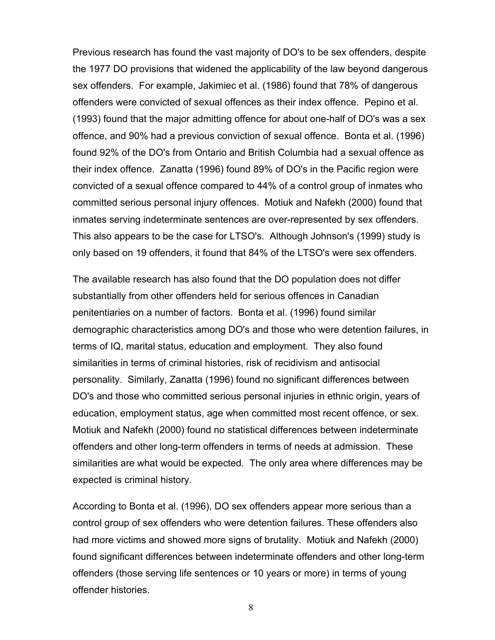Previous research has found the vast majority of DO's to be sex offenders, despite the 1977 DO provisions that widened the applicability of the law beyond dangerous sex offenders. For example, Jakimiec et al. (1986) found that 78% of dangerous offenders were convicted of sexual offences as their index offence. Pepino et al. (1993) found that the major admitting offence for about one-half of DO's was a sex offence, and 90% had a previous conviction of sexual offence. Bonta et al. (1996) found 92% of the DO's from Ontario and British Columbia had a sexual offence as their index offence. Zanatta (1996) found 89% of DO's in the Pacific region were convicted of a sexual offence compared to 44% of a control group of inmates who committed serious personal injury offences. Motiuk and Nafekh (2000) found that inmates serving indeterminate sentences are over-represented by sex offenders. This also appears to be the case for LTSO's. Although Johnson's (1999) study is only based on 19 offenders, it found that 84% of the LTSO's were sex offenders.

The available research has also found that the DO population does not differ substantially from other offenders held for serious offences in Canadian penitentiaries on a number of factors. Bonta et al. (1996) found similar demographic characteristics among DO's and those who were detention failures, in terms of IQ, marital status, education and employment. They also found similarities in terms of criminal histories, risk of recidivism and antisocial personality. Similarly, Zanatta (1996) found no significant differences between DO's and those who committed serious personal injuries in ethnic origin, years of education, employment status, age when committed most recent offence, or sex. Motiuk and Nafekh (2000) found no statistical differences between indeterminate offenders and other long-term offenders in terms of needs at admission. These similarities are what would be expected. The only area where differences may be expected is criminal history.

According to Bonta et al. (1996), DO sex offenders appear more serious than a control group of sex offenders who were detention failures. These offenders also had more victims and showed more signs of brutality. Motiuk and Nafekh (2000) found significant differences between indeterminate offenders and other long-term offenders (those serving life sentences or 10 years or more) in terms of young offender histories.

8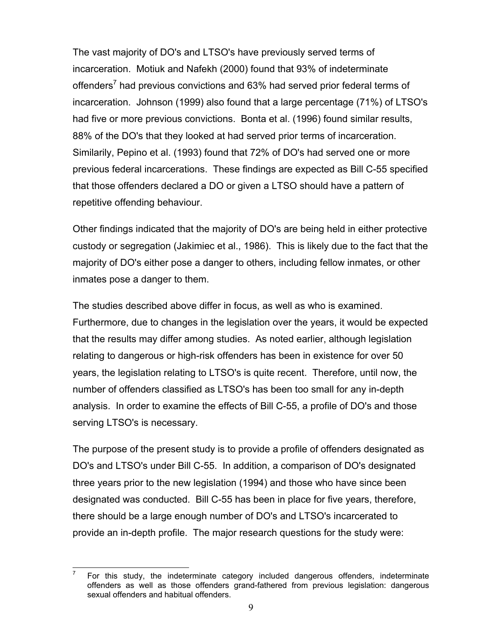The vast majority of DO's and LTSO's have previously served terms of incarceration. Motiuk and Nafekh (2000) found that 93% of indeterminate offenders<sup>[7](#page-15-0)</sup> had previous convictions and 63% had served prior federal terms of incarceration. Johnson (1999) also found that a large percentage (71%) of LTSO's had five or more previous convictions. Bonta et al. (1996) found similar results, 88% of the DO's that they looked at had served prior terms of incarceration. Similarily, Pepino et al. (1993) found that 72% of DO's had served one or more previous federal incarcerations. These findings are expected as Bill C-55 specified that those offenders declared a DO or given a LTSO should have a pattern of repetitive offending behaviour.

Other findings indicated that the majority of DO's are being held in either protective custody or segregation (Jakimiec et al., 1986). This is likely due to the fact that the majority of DO's either pose a danger to others, including fellow inmates, or other inmates pose a danger to them.

The studies described above differ in focus, as well as who is examined. Furthermore, due to changes in the legislation over the years, it would be expected that the results may differ among studies. As noted earlier, although legislation relating to dangerous or high-risk offenders has been in existence for over 50 years, the legislation relating to LTSO's is quite recent. Therefore, until now, the number of offenders classified as LTSO's has been too small for any in-depth analysis. In order to examine the effects of Bill C-55, a profile of DO's and those serving LTSO's is necessary.

The purpose of the present study is to provide a profile of offenders designated as DO's and LTSO's under Bill C-55. In addition, a comparison of DO's designated three years prior to the new legislation (1994) and those who have since been designated was conducted. Bill C-55 has been in place for five years, therefore, there should be a large enough number of DO's and LTSO's incarcerated to provide an in-depth profile. The major research questions for the study were:

<span id="page-15-0"></span> $\overline{\phantom{a}}$ <sup>7</sup> For this study, the indeterminate category included dangerous offenders, indeterminate offenders as well as those offenders grand-fathered from previous legislation: dangerous sexual offenders and habitual offenders.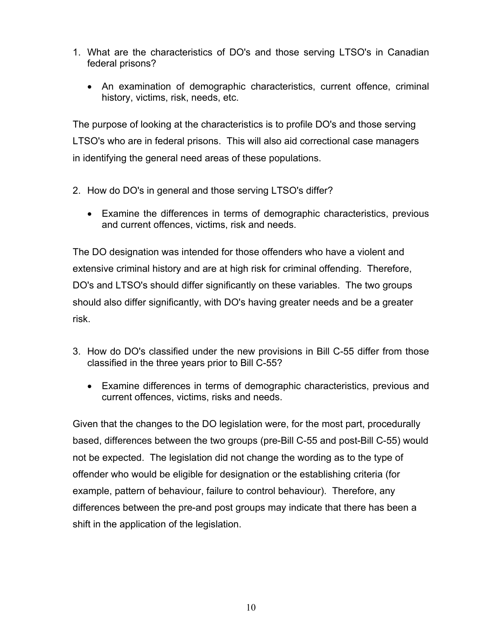- 1. What are the characteristics of DO's and those serving LTSO's in Canadian federal prisons?
	- An examination of demographic characteristics, current offence, criminal history, victims, risk, needs, etc.

The purpose of looking at the characteristics is to profile DO's and those serving LTSO's who are in federal prisons. This will also aid correctional case managers in identifying the general need areas of these populations.

- 2. How do DO's in general and those serving LTSO's differ?
	- Examine the differences in terms of demographic characteristics, previous and current offences, victims, risk and needs.

The DO designation was intended for those offenders who have a violent and extensive criminal history and are at high risk for criminal offending. Therefore, DO's and LTSO's should differ significantly on these variables. The two groups should also differ significantly, with DO's having greater needs and be a greater risk.

- 3. How do DO's classified under the new provisions in Bill C-55 differ from those classified in the three years prior to Bill C-55?
	- Examine differences in terms of demographic characteristics, previous and current offences, victims, risks and needs.

Given that the changes to the DO legislation were, for the most part, procedurally based, differences between the two groups (pre-Bill C-55 and post-Bill C-55) would not be expected. The legislation did not change the wording as to the type of offender who would be eligible for designation or the establishing criteria (for example, pattern of behaviour, failure to control behaviour). Therefore, any differences between the pre-and post groups may indicate that there has been a shift in the application of the legislation.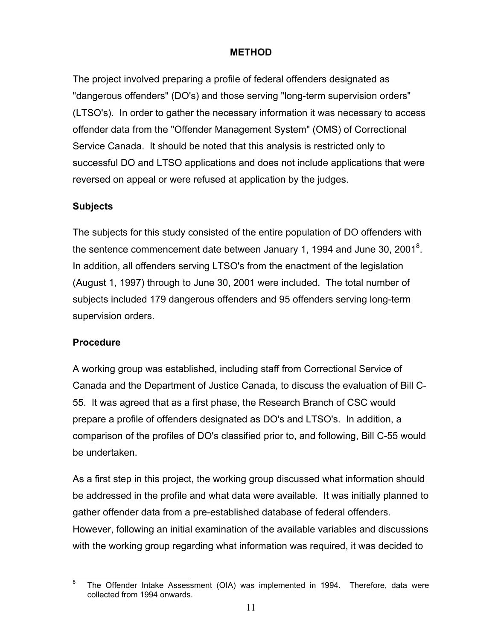#### <span id="page-17-0"></span>**METHOD**

The project involved preparing a profile of federal offenders designated as "dangerous offenders" (DO's) and those serving "long-term supervision orders" (LTSO's). In order to gather the necessary information it was necessary to access offender data from the "Offender Management System" (OMS) of Correctional Service Canada. It should be noted that this analysis is restricted only to successful DO and LTSO applications and does not include applications that were reversed on appeal or were refused at application by the judges.

#### <span id="page-17-1"></span>**Subjects**

The subjects for this study consisted of the entire population of DO offenders with the sentence commencement date between January 1, 1994 and June 30, 2001<sup>[8](#page-17-3)</sup>. In addition, all offenders serving LTSO's from the enactment of the legislation (August 1, 1997) through to June 30, 2001 were included. The total number of subjects included 179 dangerous offenders and 95 offenders serving long-term supervision orders.

#### <span id="page-17-2"></span>**Procedure**

A working group was established, including staff from Correctional Service of Canada and the Department of Justice Canada, to discuss the evaluation of Bill C-55. It was agreed that as a first phase, the Research Branch of CSC would prepare a profile of offenders designated as DO's and LTSO's. In addition, a comparison of the profiles of DO's classified prior to, and following, Bill C-55 would be undertaken.

As a first step in this project, the working group discussed what information should be addressed in the profile and what data were available. It was initially planned to gather offender data from a pre-established database of federal offenders. However, following an initial examination of the available variables and discussions with the working group regarding what information was required, it was decided to

<span id="page-17-3"></span><sup>8</sup> The Offender Intake Assessment (OIA) was implemented in 1994. Therefore, data were collected from 1994 onwards.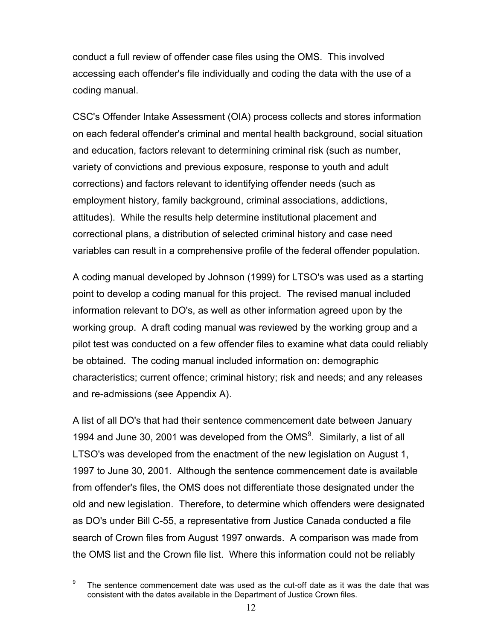conduct a full review of offender case files using the OMS. This involved accessing each offender's file individually and coding the data with the use of a coding manual.

CSC's Offender Intake Assessment (OIA) process collects and stores information on each federal offender's criminal and mental health background, social situation and education, factors relevant to determining criminal risk (such as number, variety of convictions and previous exposure, response to youth and adult corrections) and factors relevant to identifying offender needs (such as employment history, family background, criminal associations, addictions, attitudes). While the results help determine institutional placement and correctional plans, a distribution of selected criminal history and case need variables can result in a comprehensive profile of the federal offender population.

A coding manual developed by Johnson (1999) for LTSO's was used as a starting point to develop a coding manual for this project. The revised manual included information relevant to DO's, as well as other information agreed upon by the working group. A draft coding manual was reviewed by the working group and a pilot test was conducted on a few offender files to examine what data could reliably be obtained. The coding manual included information on: demographic characteristics; current offence; criminal history; risk and needs; and any releases and re-admissions (see Appendix A).

A list of all DO's that had their sentence commencement date between January 1[9](#page-18-0)94 and June 30, 2001 was developed from the  $OMS<sup>9</sup>$ . Similarly, a list of all LTSO's was developed from the enactment of the new legislation on August 1, 1997 to June 30, 2001. Although the sentence commencement date is available from offender's files, the OMS does not differentiate those designated under the old and new legislation. Therefore, to determine which offenders were designated as DO's under Bill C-55, a representative from Justice Canada conducted a file search of Crown files from August 1997 onwards. A comparison was made from the OMS list and the Crown file list. Where this information could not be reliably

<span id="page-18-0"></span> $\mathbf{q}$ The sentence commencement date was used as the cut-off date as it was the date that was consistent with the dates available in the Department of Justice Crown files.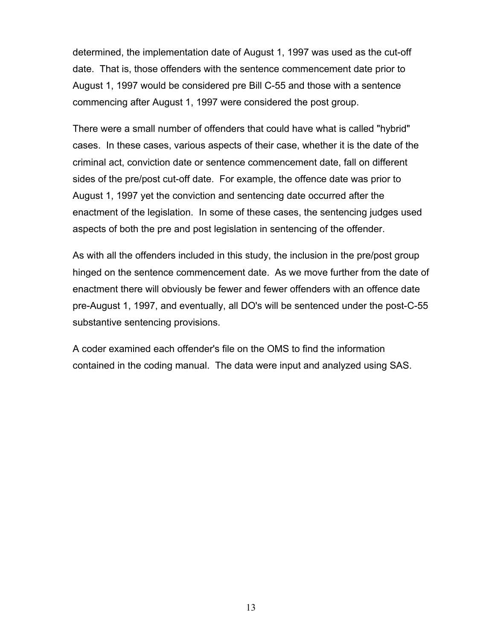determined, the implementation date of August 1, 1997 was used as the cut-off date. That is, those offenders with the sentence commencement date prior to August 1, 1997 would be considered pre Bill C-55 and those with a sentence commencing after August 1, 1997 were considered the post group.

There were a small number of offenders that could have what is called "hybrid" cases. In these cases, various aspects of their case, whether it is the date of the criminal act, conviction date or sentence commencement date, fall on different sides of the pre/post cut-off date. For example, the offence date was prior to August 1, 1997 yet the conviction and sentencing date occurred after the enactment of the legislation. In some of these cases, the sentencing judges used aspects of both the pre and post legislation in sentencing of the offender.

As with all the offenders included in this study, the inclusion in the pre/post group hinged on the sentence commencement date. As we move further from the date of enactment there will obviously be fewer and fewer offenders with an offence date pre-August 1, 1997, and eventually, all DO's will be sentenced under the post-C-55 substantive sentencing provisions.

A coder examined each offender's file on the OMS to find the information contained in the coding manual. The data were input and analyzed using SAS.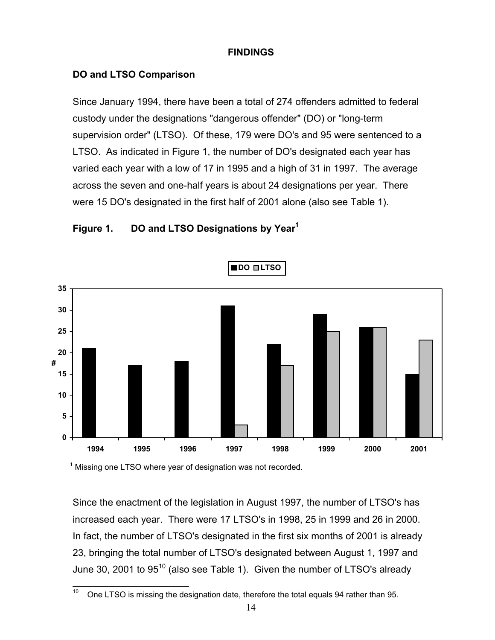#### <span id="page-20-0"></span>**FINDINGS**

### <span id="page-20-1"></span>**DO and LTSO Comparison**

Since January 1994, there have been a total of 274 offenders admitted to federal custody under the designations "dangerous offender" (DO) or "long-term supervision order" (LTSO). Of these, 179 were DO's and 95 were sentenced to a LTSO. As indicated in Figure 1, the number of DO's designated each year has varied each year with a low of 17 in 1995 and a high of 31 in 1997. The average across the seven and one-half years is about 24 designations per year. There were 15 DO's designated in the first half of 2001 alone (also see Table 1).

<span id="page-20-2"></span>



 $1$  Missing one LTSO where year of designation was not recorded.

Since the enactment of the legislation in August 1997, the number of LTSO's has increased each year. There were 17 LTSO's in 1998, 25 in 1999 and 26 in 2000. In fact, the number of LTSO's designated in the first six months of 2001 is already 23, bringing the total number of LTSO's designated between August 1, 1997 and June 30, 2001 to 95<sup>10</sup> (also see Table 1). Given the number of LTSO's already

<span id="page-20-3"></span> $10$ <sup>10</sup> One LTSO is missing the designation date, therefore the total equals 94 rather than 95.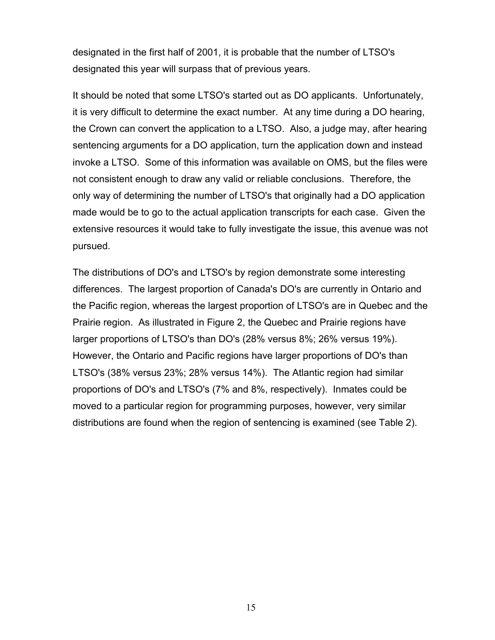designated in the first half of 2001, it is probable that the number of LTSO's designated this year will surpass that of previous years.

It should be noted that some LTSO's started out as DO applicants. Unfortunately, it is very difficult to determine the exact number. At any time during a DO hearing, the Crown can convert the application to a LTSO. Also, a judge may, after hearing sentencing arguments for a DO application, turn the application down and instead invoke a LTSO. Some of this information was available on OMS, but the files were not consistent enough to draw any valid or reliable conclusions. Therefore, the only way of determining the number of LTSO's that originally had a DO application made would be to go to the actual application transcripts for each case. Given the extensive resources it would take to fully investigate the issue, this avenue was not pursued.

The distributions of DO's and LTSO's by region demonstrate some interesting differences. The largest proportion of Canada's DO's are currently in Ontario and the Pacific region, whereas the largest proportion of LTSO's are in Quebec and the Prairie region. As illustrated in Figure 2, the Quebec and Prairie regions have larger proportions of LTSO's than DO's (28% versus 8%; 26% versus 19%). However, the Ontario and Pacific regions have larger proportions of DO's than LTSO's (38% versus 23%; 28% versus 14%). The Atlantic region had similar proportions of DO's and LTSO's (7% and 8%, respectively). Inmates could be moved to a particular region for programming purposes, however, very similar distributions are found when the region of sentencing is examined (see Table 2).

15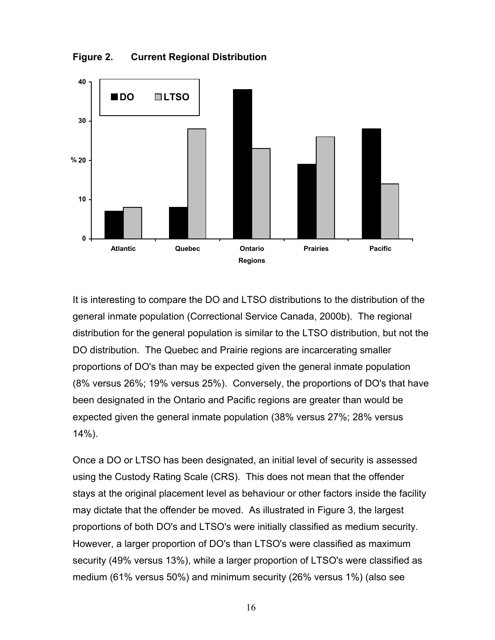**Figure 2. Current Regional Distribution**



It is interesting to compare the DO and LTSO distributions to the distribution of the general inmate population (Correctional Service Canada, 2000b). The regional distribution for the general population is similar to the LTSO distribution, but not the DO distribution. The Quebec and Prairie regions are incarcerating smaller proportions of DO's than may be expected given the general inmate population (8% versus 26%; 19% versus 25%). Conversely, the proportions of DO's that have been designated in the Ontario and Pacific regions are greater than would be expected given the general inmate population (38% versus 27%; 28% versus 14%).

<span id="page-22-0"></span>Once a DO or LTSO has been designated, an initial level of security is assessed using the Custody Rating Scale (CRS). This does not mean that the offender stays at the original placement level as behaviour or other factors inside the facility may dictate that the offender be moved. As illustrated in Figure 3, the largest proportions of both DO's and LTSO's were initially classified as medium security. However, a larger proportion of DO's than LTSO's were classified as maximum security (49% versus 13%), while a larger proportion of LTSO's were classified as medium (61% versus 50%) and minimum security (26% versus 1%) (also see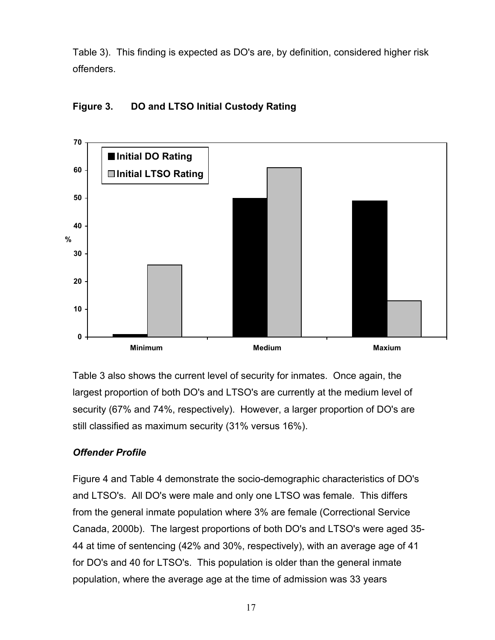Table 3). This finding is expected as DO's are, by definition, considered higher risk offenders.

<span id="page-23-0"></span>



Table 3 also shows the current level of security for inmates. Once again, the largest proportion of both DO's and LTSO's are currently at the medium level of security (67% and 74%, respectively). However, a larger proportion of DO's are still classified as maximum security (31% versus 16%).

### *Offender Profile*

Figure 4 and Table 4 demonstrate the socio-demographic characteristics of DO's and LTSO's. All DO's were male and only one LTSO was female. This differs from the general inmate population where 3% are female (Correctional Service Canada, 2000b). The largest proportions of both DO's and LTSO's were aged 35- 44 at time of sentencing (42% and 30%, respectively), with an average age of 41 for DO's and 40 for LTSO's. This population is older than the general inmate population, where the average age at the time of admission was 33 years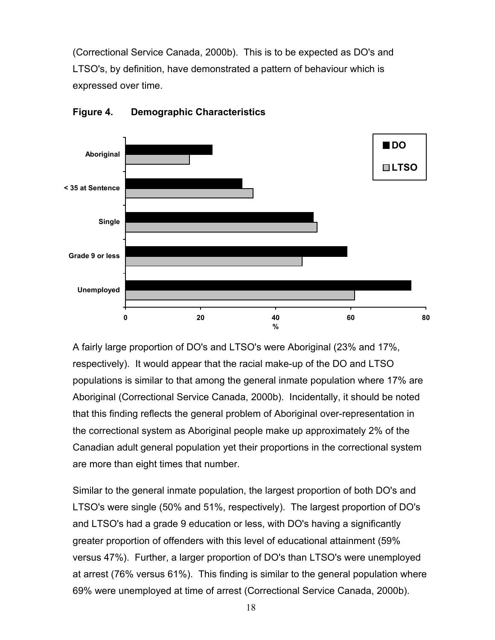(Correctional Service Canada, 2000b). This is to be expected as DO's and LTSO's, by definition, have demonstrated a pattern of behaviour which is expressed over time.



#### <span id="page-24-0"></span>**Figure 4. Demographic Characteristics**

A fairly large proportion of DO's and LTSO's were Aboriginal (23% and 17%, respectively). It would appear that the racial make-up of the DO and LTSO populations is similar to that among the general inmate population where 17% are Aboriginal (Correctional Service Canada, 2000b). Incidentally, it should be noted that this finding reflects the general problem of Aboriginal over-representation in the correctional system as Aboriginal people make up approximately 2% of the Canadian adult general population yet their proportions in the correctional system are more than eight times that number.

Similar to the general inmate population, the largest proportion of both DO's and LTSO's were single (50% and 51%, respectively). The largest proportion of DO's and LTSO's had a grade 9 education or less, with DO's having a significantly greater proportion of offenders with this level of educational attainment (59% versus 47%). Further, a larger proportion of DO's than LTSO's were unemployed at arrest (76% versus 61%). This finding is similar to the general population where 69% were unemployed at time of arrest (Correctional Service Canada, 2000b).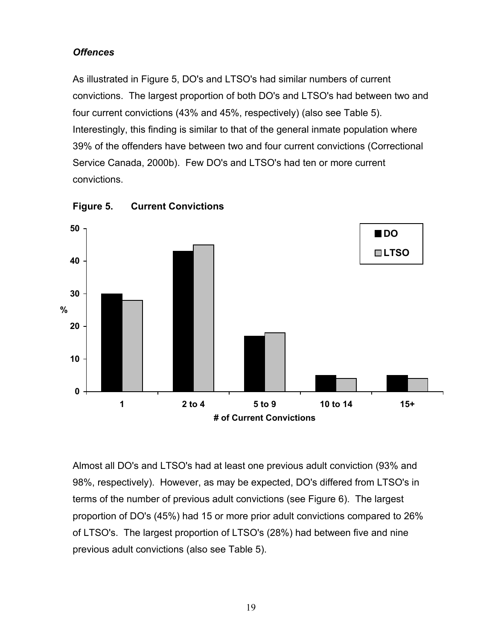### *Offences*

As illustrated in Figure 5, DO's and LTSO's had similar numbers of current convictions. The largest proportion of both DO's and LTSO's had between two and four current convictions (43% and 45%, respectively) (also see Table 5). Interestingly, this finding is similar to that of the general inmate population where 39% of the offenders have between two and four current convictions (Correctional Service Canada, 2000b). Few DO's and LTSO's had ten or more current convictions.



<span id="page-25-0"></span>**Figure 5. Current Convictions**

Almost all DO's and LTSO's had at least one previous adult conviction (93% and 98%, respectively). However, as may be expected, DO's differed from LTSO's in terms of the number of previous adult convictions (see Figure 6). The largest proportion of DO's (45%) had 15 or more prior adult convictions compared to 26% of LTSO's. The largest proportion of LTSO's (28%) had between five and nine previous adult convictions (also see Table 5).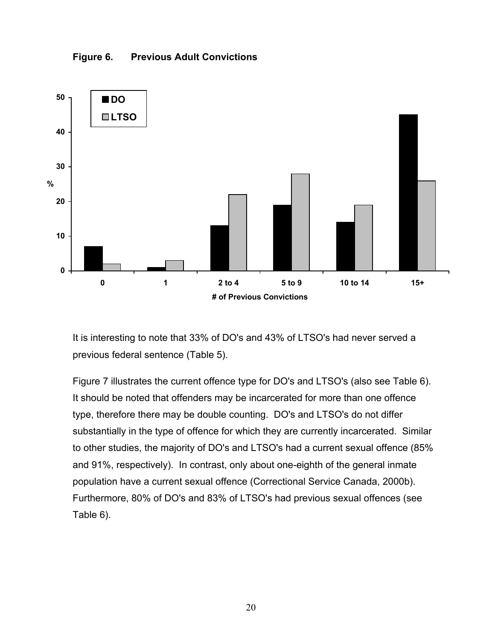<span id="page-26-0"></span>



It is interesting to note that 33% of DO's and 43% of LTSO's had never served a previous federal sentence (Table 5).

Figure 7 illustrates the current offence type for DO's and LTSO's (also see Table 6). It should be noted that offenders may be incarcerated for more than one offence type, therefore there may be double counting. DO's and LTSO's do not differ substantially in the type of offence for which they are currently incarcerated. Similar to other studies, the majority of DO's and LTSO's had a current sexual offence (85% and 91%, respectively). In contrast, only about one-eighth of the general inmate population have a current sexual offence (Correctional Service Canada, 2000b). Furthermore, 80% of DO's and 83% of LTSO's had previous sexual offences (see Table 6).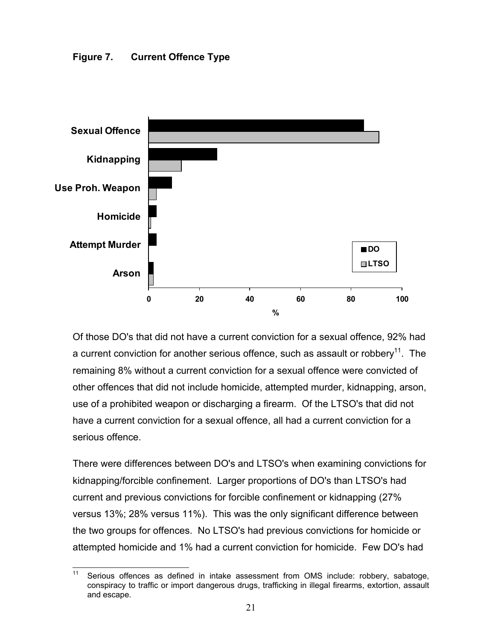<span id="page-27-0"></span>

Of those DO's that did not have a current conviction for a sexual offence, 92% had a current conviction for another serious offence, such as assault or robbery<sup>11</sup>. The remaining 8% without a current conviction for a sexual offence were convicted of other offences that did not include homicide, attempted murder, kidnapping, arson, use of a prohibited weapon or discharging a firearm. Of the LTSO's that did not have a current conviction for a sexual offence, all had a current conviction for a serious offence.

There were differences between DO's and LTSO's when examining convictions for kidnapping/forcible confinement. Larger proportions of DO's than LTSO's had current and previous convictions for forcible confinement or kidnapping (27% versus 13%; 28% versus 11%). This was the only significant difference between the two groups for offences. No LTSO's had previous convictions for homicide or attempted homicide and 1% had a current conviction for homicide. Few DO's had

<span id="page-27-1"></span> $11$ Serious offences as defined in intake assessment from OMS include: robbery, sabatoge, conspiracy to traffic or import dangerous drugs, trafficking in illegal firearms, extortion, assault and escape.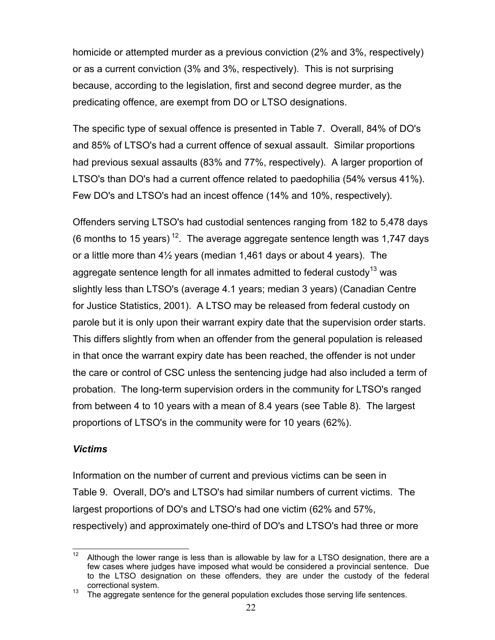homicide or attempted murder as a previous conviction (2% and 3%, respectively) or as a current conviction (3% and 3%, respectively). This is not surprising because, according to the legislation, first and second degree murder, as the predicating offence, are exempt from DO or LTSO designations.

The specific type of sexual offence is presented in Table 7. Overall, 84% of DO's and 85% of LTSO's had a current offence of sexual assault. Similar proportions had previous sexual assaults (83% and 77%, respectively). A larger proportion of LTSO's than DO's had a current offence related to paedophilia (54% versus 41%). Few DO's and LTSO's had an incest offence (14% and 10%, respectively).

Offenders serving LTSO's had custodial sentences ranging from 182 to 5,478 days (6 months to 15 years)<sup>12</sup>. The average aggregate sentence length was 1,747 days or a little more than 4½ years (median 1,461 days or about 4 years). The aggregate sentence length for all inmates admitted to federal custody<sup>13</sup> was slightly less than LTSO's (average 4.1 years; median 3 years) (Canadian Centre for Justice Statistics, 2001). A LTSO may be released from federal custody on parole but it is only upon their warrant expiry date that the supervision order starts. This differs slightly from when an offender from the general population is released in that once the warrant expiry date has been reached, the offender is not under the care or control of CSC unless the sentencing judge had also included a term of probation. The long-term supervision orders in the community for LTSO's ranged from between 4 to 10 years with a mean of 8.4 years (see Table 8). The largest proportions of LTSO's in the community were for 10 years (62%).

### *Victims*

Information on the number of current and previous victims can be seen in Table 9. Overall, DO's and LTSO's had similar numbers of current victims. The largest proportions of DO's and LTSO's had one victim (62% and 57%, respectively) and approximately one-third of DO's and LTSO's had three or more

<span id="page-28-0"></span> $12$ Although the lower range is less than is allowable by law for a LTSO designation, there are a few cases where judges have imposed what would be considered a provincial sentence. Due to the LTSO designation on these offenders, they are under the custody of the federal

<span id="page-28-1"></span>correctional system.<br>
<sup>13</sup> The aggregate sentence for the general population excludes those serving life sentences.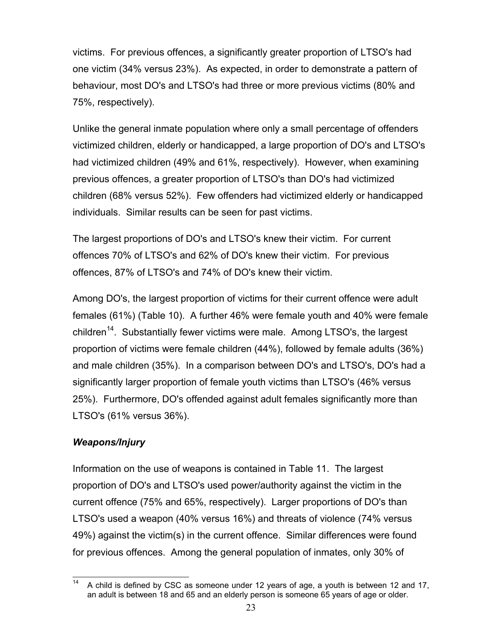victims. For previous offences, a significantly greater proportion of LTSO's had one victim (34% versus 23%). As expected, in order to demonstrate a pattern of behaviour, most DO's and LTSO's had three or more previous victims (80% and 75%, respectively).

Unlike the general inmate population where only a small percentage of offenders victimized children, elderly or handicapped, a large proportion of DO's and LTSO's had victimized children (49% and 61%, respectively). However, when examining previous offences, a greater proportion of LTSO's than DO's had victimized children (68% versus 52%). Few offenders had victimized elderly or handicapped individuals. Similar results can be seen for past victims.

The largest proportions of DO's and LTSO's knew their victim. For current offences 70% of LTSO's and 62% of DO's knew their victim. For previous offences, 87% of LTSO's and 74% of DO's knew their victim.

Among DO's, the largest proportion of victims for their current offence were adult females (61%) (Table 10). A further 46% were female youth and 40% were female children<sup>14</sup>. Substantially fewer victims were male. Among LTSO's, the largest proportion of victims were female children (44%), followed by female adults (36%) and male children (35%). In a comparison between DO's and LTSO's, DO's had a significantly larger proportion of female youth victims than LTSO's (46% versus 25%). Furthermore, DO's offended against adult females significantly more than LTSO's (61% versus 36%).

### *Weapons/Injury*

Information on the use of weapons is contained in Table 11. The largest proportion of DO's and LTSO's used power/authority against the victim in the current offence (75% and 65%, respectively). Larger proportions of DO's than LTSO's used a weapon (40% versus 16%) and threats of violence (74% versus 49%) against the victim(s) in the current offence. Similar differences were found for previous offences. Among the general population of inmates, only 30% of

<span id="page-29-0"></span> $14$ <sup>14</sup> A child is defined by CSC as someone under 12 years of age, a youth is between 12 and 17, an adult is between 18 and 65 and an elderly person is someone 65 years of age or older.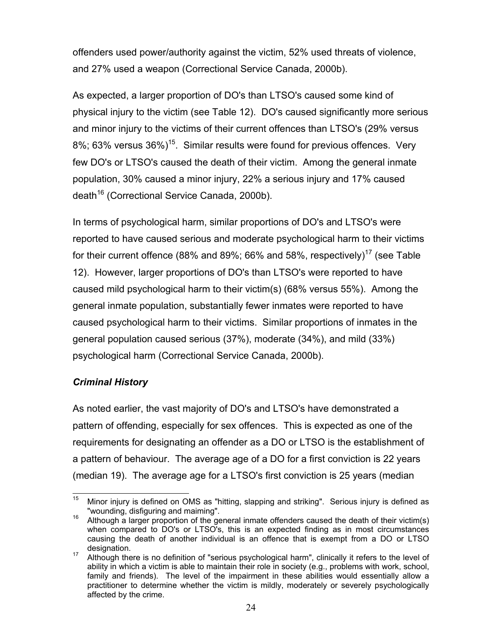offenders used power/authority against the victim, 52% used threats of violence, and 27% used a weapon (Correctional Service Canada, 2000b).

As expected, a larger proportion of DO's than LTSO's caused some kind of physical injury to the victim (see Table 12). DO's caused significantly more serious and minor injury to the victims of their current offences than LTSO's (29% versus 8%; 63% versus 36%)<sup>15</sup>. Similar results were found for previous offences. Very few DO's or LTSO's caused the death of their victim. Among the general inmate population, 30% caused a minor injury, 22% a serious injury and 17% caused death<sup>16</sup> (Correctional Service Canada, 2000b).

In terms of psychological harm, similar proportions of DO's and LTSO's were reported to have caused serious and moderate psychological harm to their victims for their current offence (88% and 89%; 66% and 58%, respectively)<sup>17</sup> (see Table 12). However, larger proportions of DO's than LTSO's were reported to have caused mild psychological harm to their victim(s) (68% versus 55%). Among the general inmate population, substantially fewer inmates were reported to have caused psychological harm to their victims. Similar proportions of inmates in the general population caused serious (37%), moderate (34%), and mild (33%) psychological harm (Correctional Service Canada, 2000b).

### *Criminal History*

As noted earlier, the vast majority of DO's and LTSO's have demonstrated a pattern of offending, especially for sex offences. This is expected as one of the requirements for designating an offender as a DO or LTSO is the establishment of a pattern of behaviour. The average age of a DO for a first conviction is 22 years (median 19). The average age for a LTSO's first conviction is 25 years (median

<span id="page-30-0"></span> $15<sub>15</sub>$ <sup>15</sup> Minor injury is defined on OMS as "hitting, slapping and striking". Serious injury is defined as "wounding, disfiguring and maiming". <sup>16</sup> Although a larger proportion of the general inmate offenders caused the death of their victim(s)

<span id="page-30-1"></span>when compared to DO's or LTSO's, this is an expected finding as in most circumstances causing the death of another individual is an offence that is exempt from a DO or LTSO designation.<br><sup>17</sup> Although there is no definition of "serious psychological harm", clinically it refers to the level of

<span id="page-30-2"></span>ability in which a victim is able to maintain their role in society (e.g., problems with work, school, family and friends). The level of the impairment in these abilities would essentially allow a practitioner to determine whether the victim is mildly, moderately or severely psychologically affected by the crime.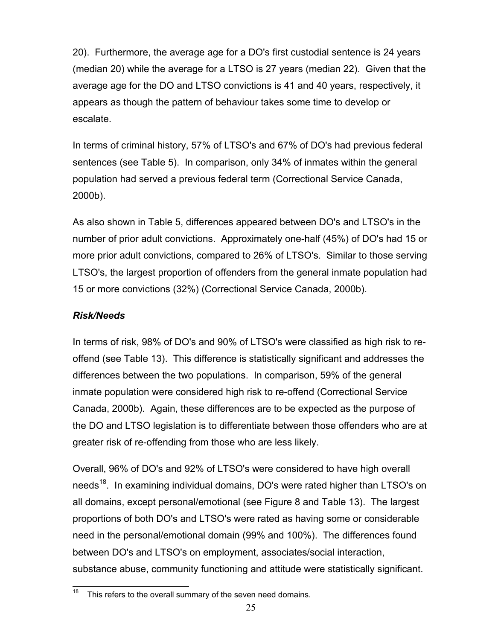20). Furthermore, the average age for a DO's first custodial sentence is 24 years (median 20) while the average for a LTSO is 27 years (median 22). Given that the average age for the DO and LTSO convictions is 41 and 40 years, respectively, it appears as though the pattern of behaviour takes some time to develop or escalate.

In terms of criminal history, 57% of LTSO's and 67% of DO's had previous federal sentences (see Table 5). In comparison, only 34% of inmates within the general population had served a previous federal term (Correctional Service Canada, 2000b).

As also shown in Table 5, differences appeared between DO's and LTSO's in the number of prior adult convictions. Approximately one-half (45%) of DO's had 15 or more prior adult convictions, compared to 26% of LTSO's. Similar to those serving LTSO's, the largest proportion of offenders from the general inmate population had 15 or more convictions (32%) (Correctional Service Canada, 2000b).

### *Risk/Needs*

In terms of risk, 98% of DO's and 90% of LTSO's were classified as high risk to reoffend (see Table 13). This difference is statistically significant and addresses the differences between the two populations. In comparison, 59% of the general inmate population were considered high risk to re-offend (Correctional Service Canada, 2000b). Again, these differences are to be expected as the purpose of the DO and LTSO legislation is to differentiate between those offenders who are at greater risk of re-offending from those who are less likely.

Overall, 96% of DO's and 92% of LTSO's were considered to have high overall needs<sup>18</sup>. In examining individual domains, DO's were rated higher than LTSO's on all domains, except personal/emotional (see Figure 8 and Table 13). The largest proportions of both DO's and LTSO's were rated as having some or considerable need in the personal/emotional domain (99% and 100%). The differences found between DO's and LTSO's on employment, associates/social interaction, substance abuse, community functioning and attitude were statistically significant.

<span id="page-31-0"></span><sup>18</sup> This refers to the overall summary of the seven need domains.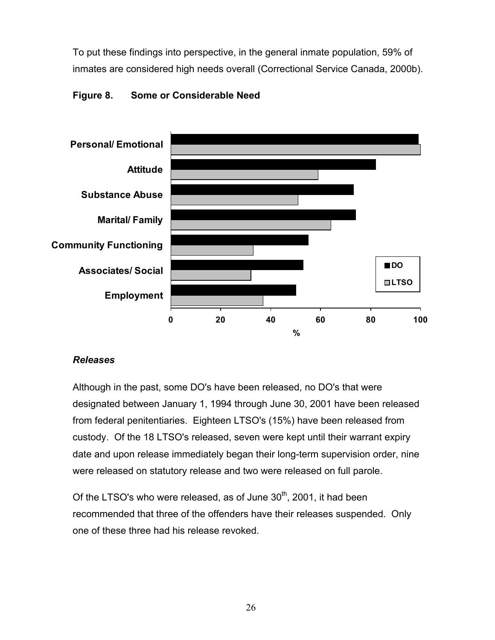To put these findings into perspective, in the general inmate population, 59% of inmates are considered high needs overall (Correctional Service Canada, 2000b).



#### <span id="page-32-0"></span>**Figure 8. Some or Considerable Need**

#### *Releases*

Although in the past, some DO's have been released, no DO's that were designated between January 1, 1994 through June 30, 2001 have been released from federal penitentiaries. Eighteen LTSO's (15%) have been released from custody. Of the 18 LTSO's released, seven were kept until their warrant expiry date and upon release immediately began their long-term supervision order, nine were released on statutory release and two were released on full parole.

Of the LTSO's who were released, as of June  $30<sup>th</sup>$ , 2001, it had been recommended that three of the offenders have their releases suspended. Only one of these three had his release revoked.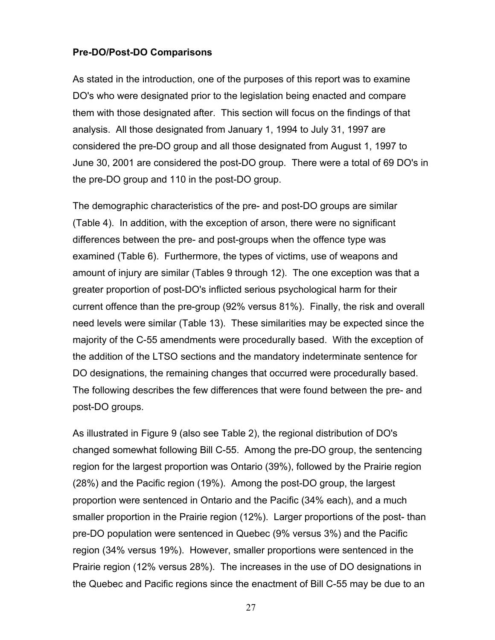#### **Pre-DO/Post-DO Comparisons**

As stated in the introduction, one of the purposes of this report was to examine DO's who were designated prior to the legislation being enacted and compare them with those designated after. This section will focus on the findings of that analysis. All those designated from January 1, 1994 to July 31, 1997 are considered the pre-DO group and all those designated from August 1, 1997 to June 30, 2001 are considered the post-DO group. There were a total of 69 DO's in the pre-DO group and 110 in the post-DO group.

The demographic characteristics of the pre- and post-DO groups are similar (Table 4). In addition, with the exception of arson, there were no significant differences between the pre- and post-groups when the offence type was examined (Table 6). Furthermore, the types of victims, use of weapons and amount of injury are similar (Tables 9 through 12). The one exception was that a greater proportion of post-DO's inflicted serious psychological harm for their current offence than the pre-group (92% versus 81%). Finally, the risk and overall need levels were similar (Table 13). These similarities may be expected since the majority of the C-55 amendments were procedurally based. With the exception of the addition of the LTSO sections and the mandatory indeterminate sentence for DO designations, the remaining changes that occurred were procedurally based. The following describes the few differences that were found between the pre- and post-DO groups.

<span id="page-33-0"></span>As illustrated in Figure 9 (also see Table 2), the regional distribution of DO's changed somewhat following Bill C-55. Among the pre-DO group, the sentencing region for the largest proportion was Ontario (39%), followed by the Prairie region (28%) and the Pacific region (19%). Among the post-DO group, the largest proportion were sentenced in Ontario and the Pacific (34% each), and a much smaller proportion in the Prairie region (12%). Larger proportions of the post- than pre-DO population were sentenced in Quebec (9% versus 3%) and the Pacific region (34% versus 19%). However, smaller proportions were sentenced in the Prairie region (12% versus 28%). The increases in the use of DO designations in the Quebec and Pacific regions since the enactment of Bill C-55 may be due to an

27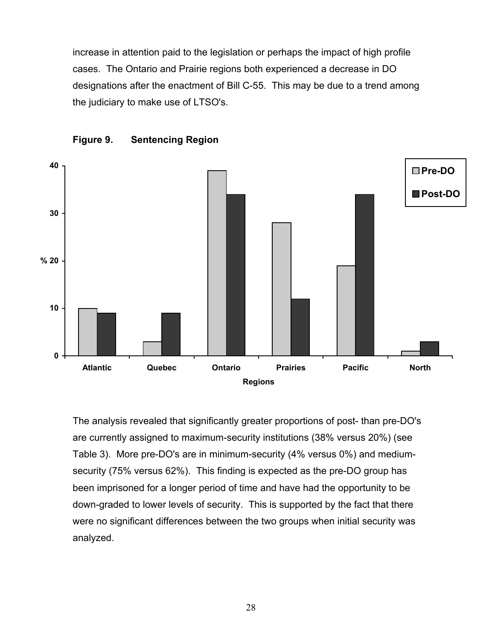increase in attention paid to the legislation or perhaps the impact of high profile cases. The Ontario and Prairie regions both experienced a decrease in DO designations after the enactment of Bill C-55. This may be due to a trend among the judiciary to make use of LTSO's.



<span id="page-34-0"></span>

The analysis revealed that significantly greater proportions of post- than pre-DO's are currently assigned to maximum-security institutions (38% versus 20%) (see Table 3). More pre-DO's are in minimum-security (4% versus 0%) and mediumsecurity (75% versus 62%). This finding is expected as the pre-DO group has been imprisoned for a longer period of time and have had the opportunity to be down-graded to lower levels of security. This is supported by the fact that there were no significant differences between the two groups when initial security was analyzed.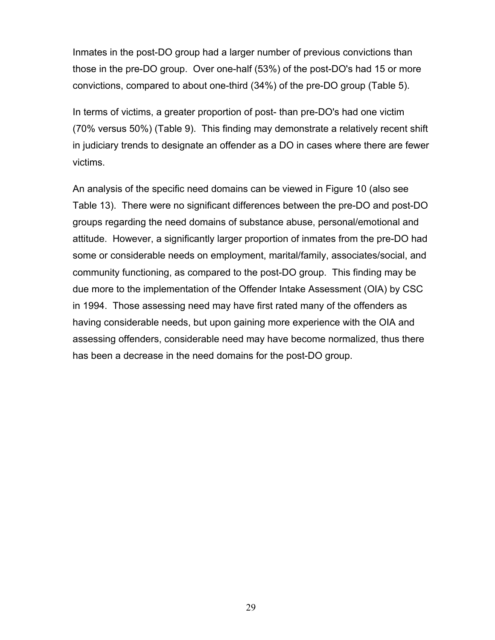Inmates in the post-DO group had a larger number of previous convictions than those in the pre-DO group. Over one-half (53%) of the post-DO's had 15 or more convictions, compared to about one-third (34%) of the pre-DO group (Table 5).

In terms of victims, a greater proportion of post- than pre-DO's had one victim (70% versus 50%) (Table 9). This finding may demonstrate a relatively recent shift in judiciary trends to designate an offender as a DO in cases where there are fewer victims.

An analysis of the specific need domains can be viewed in Figure 10 (also see Table 13). There were no significant differences between the pre-DO and post-DO groups regarding the need domains of substance abuse, personal/emotional and attitude. However, a significantly larger proportion of inmates from the pre-DO had some or considerable needs on employment, marital/family, associates/social, and community functioning, as compared to the post-DO group. This finding may be due more to the implementation of the Offender Intake Assessment (OIA) by CSC in 1994. Those assessing need may have first rated many of the offenders as having considerable needs, but upon gaining more experience with the OIA and assessing offenders, considerable need may have become normalized, thus there has been a decrease in the need domains for the post-DO group.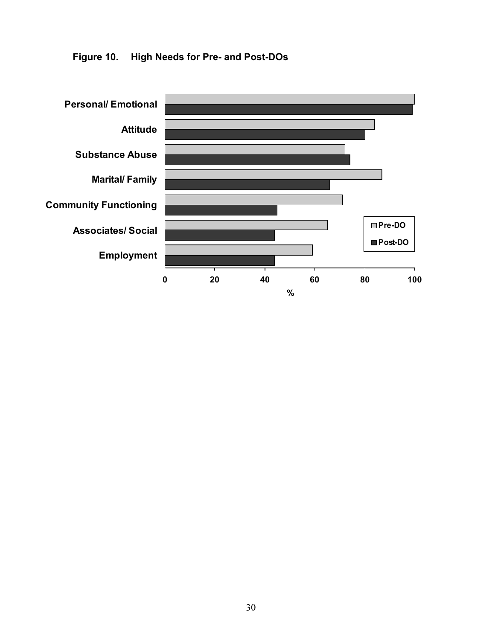

<span id="page-36-0"></span>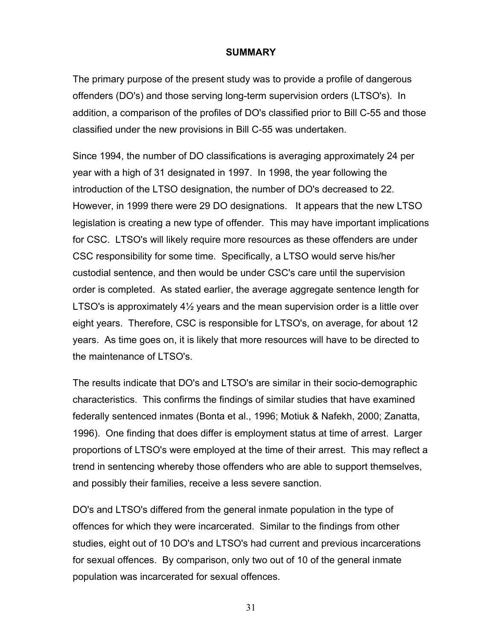#### <span id="page-37-0"></span>**SUMMARY**

The primary purpose of the present study was to provide a profile of dangerous offenders (DO's) and those serving long-term supervision orders (LTSO's). In addition, a comparison of the profiles of DO's classified prior to Bill C-55 and those classified under the new provisions in Bill C-55 was undertaken.

Since 1994, the number of DO classifications is averaging approximately 24 per year with a high of 31 designated in 1997. In 1998, the year following the introduction of the LTSO designation, the number of DO's decreased to 22. However, in 1999 there were 29 DO designations. It appears that the new LTSO legislation is creating a new type of offender. This may have important implications for CSC. LTSO's will likely require more resources as these offenders are under CSC responsibility for some time. Specifically, a LTSO would serve his/her custodial sentence, and then would be under CSC's care until the supervision order is completed. As stated earlier, the average aggregate sentence length for LTSO's is approximately 4½ years and the mean supervision order is a little over eight years. Therefore, CSC is responsible for LTSO's, on average, for about 12 years. As time goes on, it is likely that more resources will have to be directed to the maintenance of LTSO's.

The results indicate that DO's and LTSO's are similar in their socio-demographic characteristics. This confirms the findings of similar studies that have examined federally sentenced inmates (Bonta et al., 1996; Motiuk & Nafekh, 2000; Zanatta, 1996). One finding that does differ is employment status at time of arrest. Larger proportions of LTSO's were employed at the time of their arrest. This may reflect a trend in sentencing whereby those offenders who are able to support themselves, and possibly their families, receive a less severe sanction.

DO's and LTSO's differed from the general inmate population in the type of offences for which they were incarcerated. Similar to the findings from other studies, eight out of 10 DO's and LTSO's had current and previous incarcerations for sexual offences. By comparison, only two out of 10 of the general inmate population was incarcerated for sexual offences.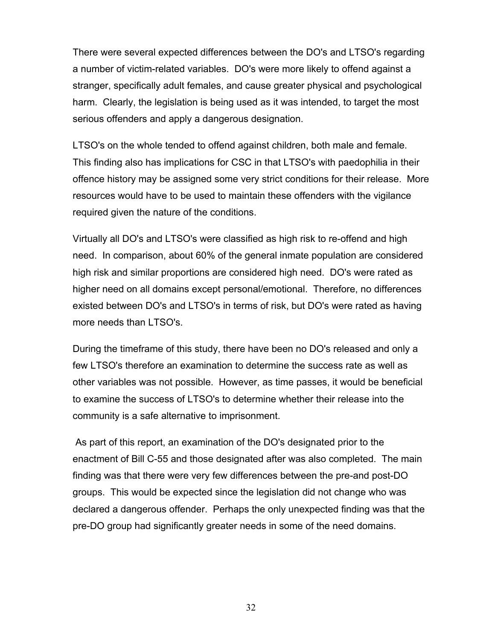There were several expected differences between the DO's and LTSO's regarding a number of victim-related variables. DO's were more likely to offend against a stranger, specifically adult females, and cause greater physical and psychological harm. Clearly, the legislation is being used as it was intended, to target the most serious offenders and apply a dangerous designation.

LTSO's on the whole tended to offend against children, both male and female. This finding also has implications for CSC in that LTSO's with paedophilia in their offence history may be assigned some very strict conditions for their release. More resources would have to be used to maintain these offenders with the vigilance required given the nature of the conditions.

Virtually all DO's and LTSO's were classified as high risk to re-offend and high need. In comparison, about 60% of the general inmate population are considered high risk and similar proportions are considered high need. DO's were rated as higher need on all domains except personal/emotional. Therefore, no differences existed between DO's and LTSO's in terms of risk, but DO's were rated as having more needs than LTSO's.

During the timeframe of this study, there have been no DO's released and only a few LTSO's therefore an examination to determine the success rate as well as other variables was not possible. However, as time passes, it would be beneficial to examine the success of LTSO's to determine whether their release into the community is a safe alternative to imprisonment.

 As part of this report, an examination of the DO's designated prior to the enactment of Bill C-55 and those designated after was also completed. The main finding was that there were very few differences between the pre-and post-DO groups. This would be expected since the legislation did not change who was declared a dangerous offender. Perhaps the only unexpected finding was that the pre-DO group had significantly greater needs in some of the need domains.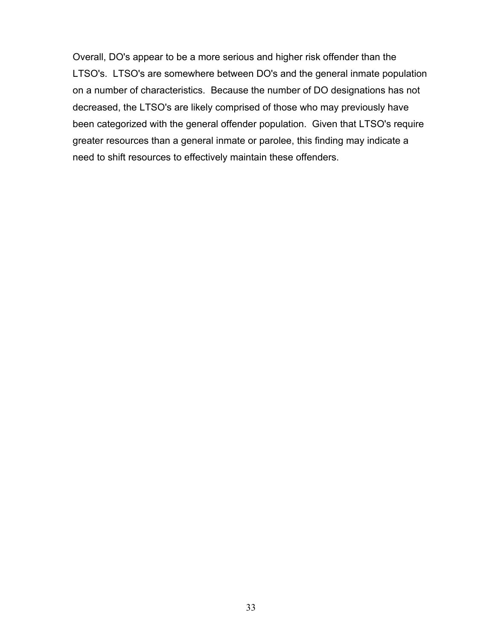Overall, DO's appear to be a more serious and higher risk offender than the LTSO's. LTSO's are somewhere between DO's and the general inmate population on a number of characteristics. Because the number of DO designations has not decreased, the LTSO's are likely comprised of those who may previously have been categorized with the general offender population. Given that LTSO's require greater resources than a general inmate or parolee, this finding may indicate a need to shift resources to effectively maintain these offenders.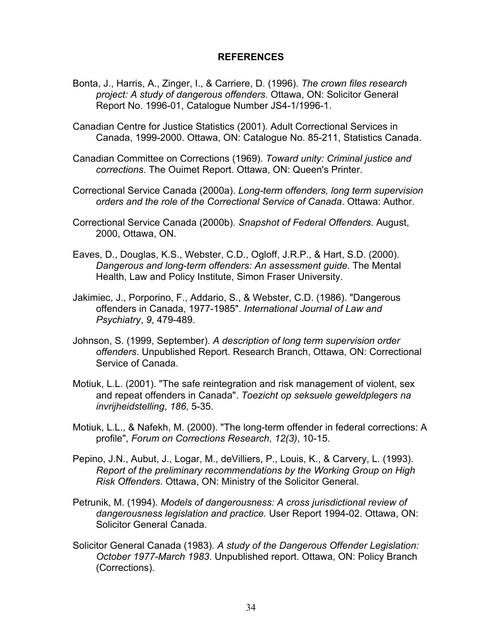#### <span id="page-40-0"></span>**REFERENCES**

- Bonta, J., Harris, A., Zinger, I., & Carriere, D. (1996). *The crown files research project: A study of dangerous offenders*. Ottawa, ON: Solicitor General Report No. 1996-01, Catalogue Number JS4-1/1996-1.
- Canadian Centre for Justice Statistics (2001). Adult Correctional Services in Canada, 1999-2000. Ottawa, ON: Catalogue No. 85-211, Statistics Canada.
- Canadian Committee on Corrections (1969). *Toward unity: Criminal justice and corrections*. The Ouimet Report. Ottawa, ON: Queen's Printer.
- Correctional Service Canada (2000a). *Long-term offenders, long term supervision orders and the role of the Correctional Service of Canada*. Ottawa: Author.
- Correctional Service Canada (2000b). *Snapshot of Federal Offenders*. August, 2000, Ottawa, ON.
- Eaves, D., Douglas, K.S., Webster, C.D., Ogloff, J.R.P., & Hart, S.D. (2000). *Dangerous and long-term offenders: An assessment guide*. The Mental Health, Law and Policy Institute, Simon Fraser University.
- Jakimiec, J., Porporino, F., Addario, S., & Webster, C.D. (1986). "Dangerous offenders in Canada, 1977-1985". *International Journal of Law and Psychiatry*, *9*, 479-489.
- Johnson, S. (1999, September). *A description of long term supervision order offenders*. Unpublished Report. Research Branch, Ottawa, ON: Correctional Service of Canada.
- Motiuk, L.L. (2001). "The safe reintegration and risk management of violent, sex and repeat offenders in Canada". *Toezicht op seksuele geweldplegers na invrijheidstelling*, *186*, 5-35.
- Motiuk, L.L., & Nafekh, M. (2000). "The long-term offender in federal corrections: A profile", *Forum on Corrections Research*, *12(3)*, 10-15.
- Pepino, J.N., Aubut, J., Logar, M., deVilliers, P., Louis, K., & Carvery, L. (1993). *Report of the preliminary recommendations by the Working Group on High Risk Offenders*. Ottawa, ON: Ministry of the Solicitor General.
- Petrunik, M. (1994). *Models of dangerousness: A cross jurisdictional review of dangerousness legislation and practice.* User Report 1994-02. Ottawa, ON: Solicitor General Canada.
- Solicitor General Canada (1983). *A study of the Dangerous Offender Legislation: October 1977-March 1983*. Unpublished report. Ottawa, ON: Policy Branch (Corrections).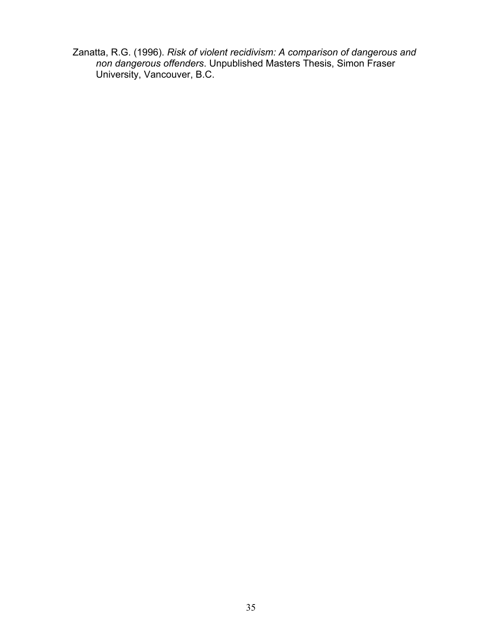Zanatta, R.G. (1996). *Risk of violent recidivism: A comparison of dangerous and non dangerous offenders*. Unpublished Masters Thesis, Simon Fraser University, Vancouver, B.C.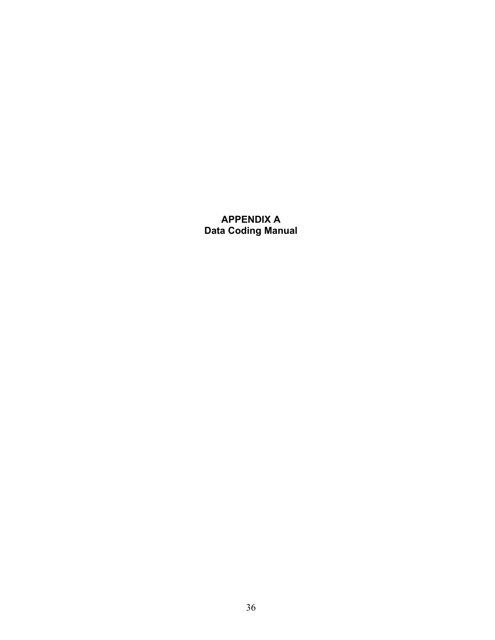### <span id="page-42-0"></span>**APPENDIX A Data Coding Manual**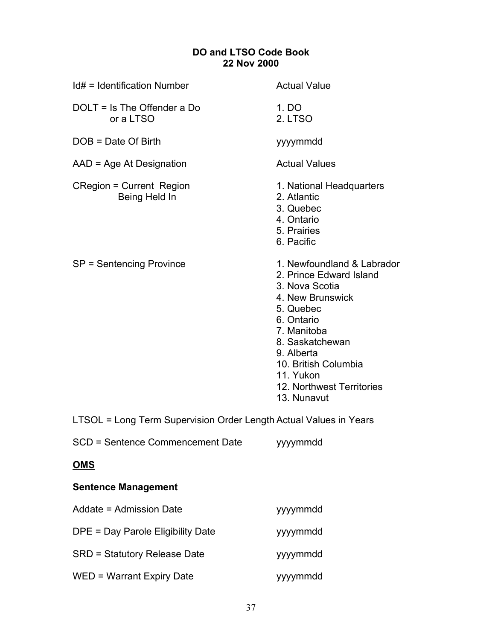### **DO and LTSO Code Book 22 Nov 2000**

| Id# = Identification Number                                       | <b>Actual Value</b>                                                                                                                                                                                                                                     |
|-------------------------------------------------------------------|---------------------------------------------------------------------------------------------------------------------------------------------------------------------------------------------------------------------------------------------------------|
| DOLT = Is The Offender a Do<br>or a LTSO                          | 1. DO<br>2. LTSO                                                                                                                                                                                                                                        |
| DOB = Date Of Birth                                               | yyyymmdd                                                                                                                                                                                                                                                |
| AAD = Age At Designation                                          | <b>Actual Values</b>                                                                                                                                                                                                                                    |
| <b>CRegion = Current Region</b><br>Being Held In                  | 1. National Headquarters<br>2. Atlantic<br>3. Quebec<br>4. Ontario<br>5. Prairies<br>6. Pacific                                                                                                                                                         |
| SP = Sentencing Province                                          | 1. Newfoundland & Labrador<br>2. Prince Edward Island<br>3. Nova Scotia<br>4. New Brunswick<br>5. Quebec<br>6. Ontario<br>7. Manitoba<br>8. Saskatchewan<br>9. Alberta<br>10. British Columbia<br>11. Yukon<br>12. Northwest Territories<br>13. Nunavut |
| LTSOL = Long Term Supervision Order Length Actual Values in Years |                                                                                                                                                                                                                                                         |
| SCD = Sentence Commencement Date                                  | yyymmdd                                                                                                                                                                                                                                                 |
| <u>OMS</u>                                                        |                                                                                                                                                                                                                                                         |
| <b>Sentence Management</b>                                        |                                                                                                                                                                                                                                                         |

| Addate = Admission Date             | yyymmdd  |
|-------------------------------------|----------|
| DPE = Day Parole Eligibility Date   | yyymmdd  |
| <b>SRD = Statutory Release Date</b> | yyyymmdd |
| WED = Warrant Expiry Date           | yyyymmdd |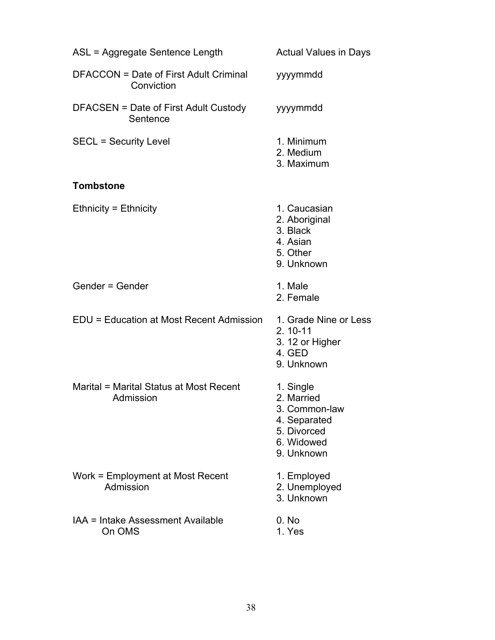| ASL = Aggregate Sentence Length                             | <b>Actual Values in Days</b>                                                                        |
|-------------------------------------------------------------|-----------------------------------------------------------------------------------------------------|
| <b>DFACCON = Date of First Adult Criminal</b><br>Conviction | yyyymmdd                                                                                            |
| DFACSEN = Date of First Adult Custody<br>Sentence           | yyyymmdd                                                                                            |
| <b>SECL = Security Level</b>                                | 1. Minimum<br>2. Medium<br>3. Maximum                                                               |
| <b>Tombstone</b>                                            |                                                                                                     |
| <b>Ethnicity = Ethnicity</b>                                | 1. Caucasian<br>2. Aboriginal<br>3. Black<br>4. Asian<br>5. Other<br>9. Unknown                     |
| Gender = Gender                                             | 1. Male<br>2. Female                                                                                |
| EDU = Education at Most Recent Admission                    | 1. Grade Nine or Less<br>$2.10 - 11$<br>3. 12 or Higher<br>4. GED<br>9. Unknown                     |
| Marital = Marital Status at Most Recent<br>Admission        | 1. Single<br>2. Married<br>3. Common-law<br>4. Separated<br>5. Divorced<br>6. Widowed<br>9. Unknown |
| Work = Employment at Most Recent<br>Admission               | 1. Employed<br>2. Unemployed<br>3. Unknown                                                          |
| IAA = Intake Assessment Available<br>On OMS                 | 0. No<br>1. Yes                                                                                     |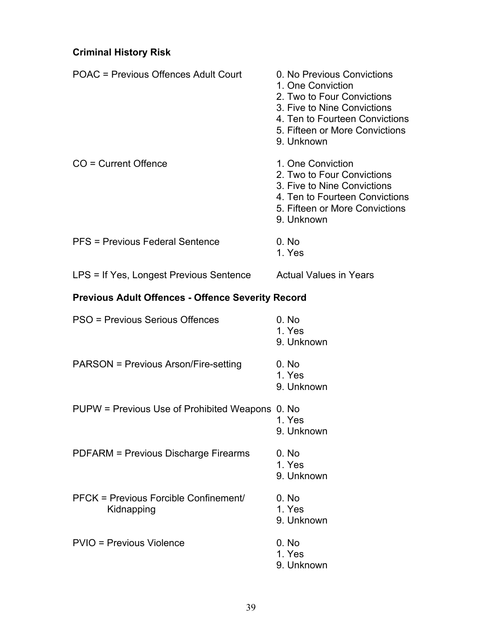## **Criminal History Risk**

| POAC = Previous Offences Adult Court                     | 0. No Previous Convictions<br>1. One Conviction<br>2. Two to Four Convictions<br>3. Five to Nine Convictions<br>4. Ten to Fourteen Convictions<br>5. Fifteen or More Convictions<br>9. Unknown |  |
|----------------------------------------------------------|------------------------------------------------------------------------------------------------------------------------------------------------------------------------------------------------|--|
| CO = Current Offence                                     | 1. One Conviction<br>2. Two to Four Convictions<br>3. Five to Nine Convictions<br>4. Ten to Fourteen Convictions<br>5. Fifteen or More Convictions<br>9. Unknown                               |  |
| PFS = Previous Federal Sentence                          | 0. No<br>1. Yes                                                                                                                                                                                |  |
| LPS = If Yes, Longest Previous Sentence                  | <b>Actual Values in Years</b>                                                                                                                                                                  |  |
| <b>Previous Adult Offences - Offence Severity Record</b> |                                                                                                                                                                                                |  |
| PSO = Previous Serious Offences                          | 0. No<br>1. Yes<br>9. Unknown                                                                                                                                                                  |  |
| PARSON = Previous Arson/Fire-setting                     | 0. No<br>1. Yes<br>9. Unknown                                                                                                                                                                  |  |
| PUPW = Previous Use of Prohibited Weapons 0. No          | 1. Yes<br>9. Unknown                                                                                                                                                                           |  |
| PDFARM = Previous Discharge Firearms                     | 0. No<br>1. Yes<br>9. Unknown                                                                                                                                                                  |  |
| PFCK = Previous Forcible Confinement/<br>Kidnapping      | 0. No<br>1. Yes<br>9. Unknown                                                                                                                                                                  |  |
| <b>PVIO = Previous Violence</b>                          | 0. No<br>1. Yes<br>9. Unknown                                                                                                                                                                  |  |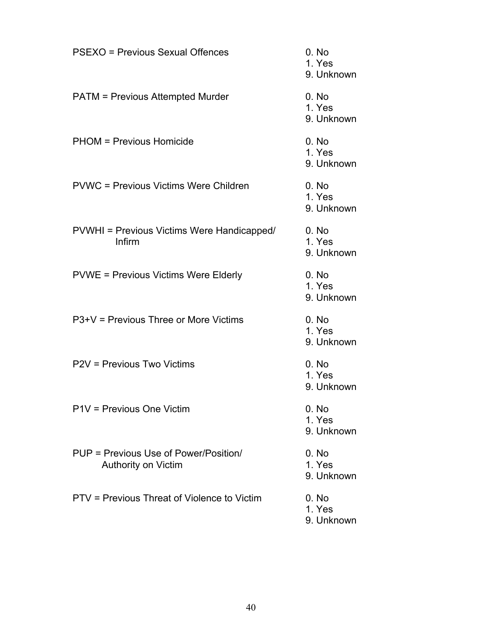| <b>PSEXO = Previous Sexual Offences</b>                      | 0. No<br>1. Yes<br>9. Unknown |
|--------------------------------------------------------------|-------------------------------|
| <b>PATM = Previous Attempted Murder</b>                      | 0. No<br>1. Yes<br>9. Unknown |
| <b>PHOM = Previous Homicide</b>                              | 0. No<br>1. Yes<br>9. Unknown |
| <b>PVWC = Previous Victims Were Children</b>                 | 0. No<br>1. Yes<br>9. Unknown |
| PVWHI = Previous Victims Were Handicapped/<br>Infirm         | 0. No<br>1. Yes<br>9. Unknown |
| <b>PVWE = Previous Victims Were Elderly</b>                  | 0. No<br>1. Yes<br>9. Unknown |
| $P3+V =$ Previous Three or More Victims                      | 0. No<br>1. Yes<br>9. Unknown |
| P2V = Previous Two Victims                                   | 0. No<br>1. Yes<br>9. Unknown |
| P1V = Previous One Victim                                    | 0. No<br>1. Yes<br>9. Unknown |
| PUP = Previous Use of Power/Position/<br>Authority on Victim | 0. No<br>1. Yes<br>9. Unknown |
| PTV = Previous Threat of Violence to Victim                  | 0. No<br>1. Yes<br>9. Unknown |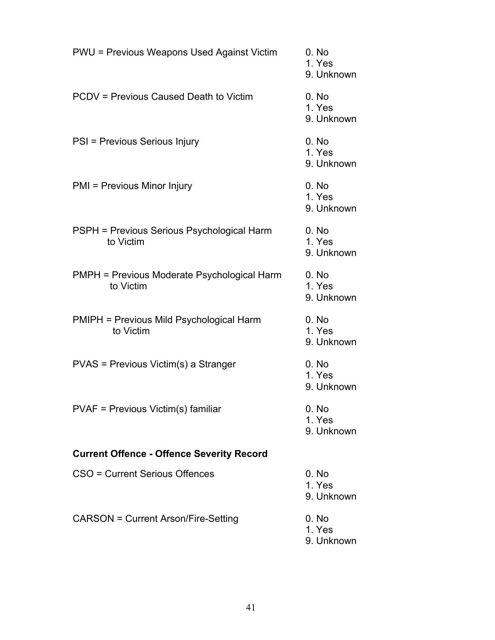| <b>PWU = Previous Weapons Used Against Victim</b>               | 0. No<br>1. Yes<br>9. Unk |
|-----------------------------------------------------------------|---------------------------|
| PCDV = Previous Caused Death to Victim                          | 0. No<br>1. Yes<br>9. Unk |
| PSI = Previous Serious Injury                                   | 0. No<br>1. Yes<br>9. Unk |
| PMI = Previous Minor Injury                                     | 0. No<br>1. Yes<br>9. Unk |
| PSPH = Previous Serious Psychological Harm<br>to Victim         | 0. No<br>1. Yes<br>9. Unk |
| <b>PMPH = Previous Moderate Psychological Harm</b><br>to Victim | 0. No<br>1. Yes<br>9. Unk |
| <b>PMIPH = Previous Mild Psychological Harm</b><br>to Victim    | 0. No<br>1. Yes<br>9. Unk |
| PVAS = Previous Victim(s) a Stranger                            | 0. No<br>1. Yes<br>9. Unk |
| PVAF = Previous Victim(s) familiar                              | 0. No<br>1. Yes<br>9. Unk |
| <b>Current Offence - Offence Severity Record</b>                |                           |
| CSO = Current Serious Offences                                  | 0. No<br>1. Yes<br>9. Unk |
| <b>CARSON = Current Arson/Fire-Setting</b>                      | 0. No<br>1 Yes            |

9. Unknown 1. Yes 9. Unknown 1. Yes 9. Unknown 1. Yes 9. Unknown 9. Unknown 1. Yes 9. Unknown 1. Yes 9. Unknown 1. Yes 9. Unknown 1. Yes 9. Unknown

1. Yes

1. Yes 9. Unknown

1. Yes 9. Unknown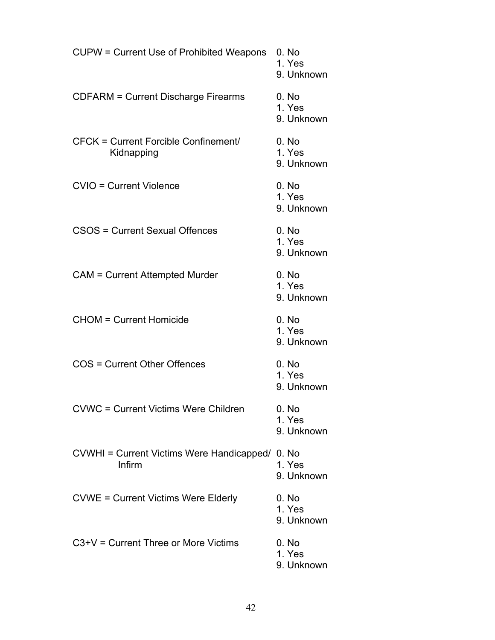| CUPW = Current Use of Prohibited Weapons                  | 0. No<br>1. Yes<br>9. Unknown |
|-----------------------------------------------------------|-------------------------------|
| <b>CDFARM = Current Discharge Firearms</b>                | 0. No<br>1. Yes<br>9. Unknown |
| <b>CFCK = Current Forcible Confinement/</b><br>Kidnapping | 0. No<br>1. Yes<br>9. Unknown |
| <b>CVIO = Current Violence</b>                            | 0. No<br>1. Yes<br>9. Unknown |
| CSOS = Current Sexual Offences                            | 0. No<br>1. Yes<br>9. Unknown |
| <b>CAM = Current Attempted Murder</b>                     | 0. No<br>1. Yes<br>9. Unknown |
| <b>CHOM = Current Homicide</b>                            | 0. No<br>1. Yes<br>9. Unknown |
| COS = Current Other Offences                              | 0. No<br>1. Yes<br>9. Unknown |
| <b>CVWC = Current Victims Were Children</b>               | 0. No<br>1. Yes<br>9. Unknown |
| CVWHI = Current Victims Were Handicapped/ 0. No<br>Infirm | 1. Yes<br>9. Unknown          |
| <b>CVWE = Current Victims Were Elderly</b>                | 0. No<br>1. Yes<br>9. Unknown |
| $C3+V =$ Current Three or More Victims                    | 0. No<br>1. Yes<br>9. Unknown |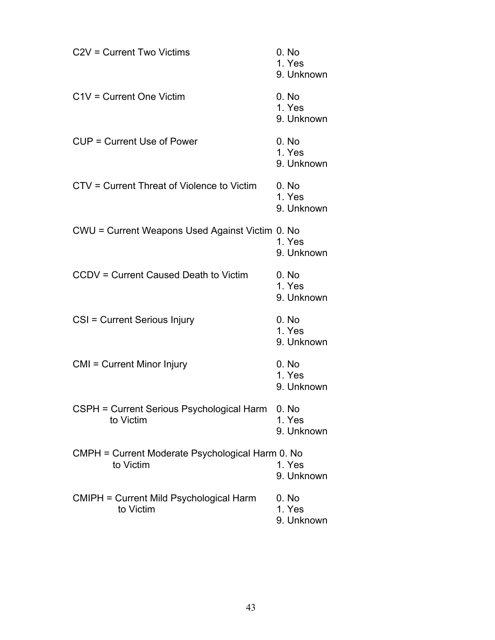| C <sub>2</sub> V = Current Two Victims                        | 0. No<br>1. Yes<br>9. Unknown |
|---------------------------------------------------------------|-------------------------------|
| C1V = Current One Victim                                      | 0. No<br>1. Yes<br>9. Unknown |
| CUP = Current Use of Power                                    | 0. No<br>1. Yes<br>9. Unknown |
| CTV = Current Threat of Violence to Victim                    | 0. No<br>1. Yes<br>9. Unknown |
| CWU = Current Weapons Used Against Victim 0. No               | 1. Yes<br>9. Unknown          |
| CCDV = Current Caused Death to Victim                         | 0. No<br>1. Yes<br>9. Unknown |
| CSI = Current Serious Injury                                  | 0. No<br>1. Yes<br>9. Unknown |
| CMI = Current Minor Injury                                    | 0. No<br>1. Yes<br>9. Unknown |
| CSPH = Current Serious Psychological Harm<br>to Victim        | 0. No<br>1. Yes<br>9. Unknown |
| CMPH = Current Moderate Psychological Harm 0. No<br>to Victim | 1. Yes<br>9. Unknown          |
| <b>CMIPH = Current Mild Psychological Harm</b><br>to Victim   | 0. No<br>1. Yes<br>9. Unknown |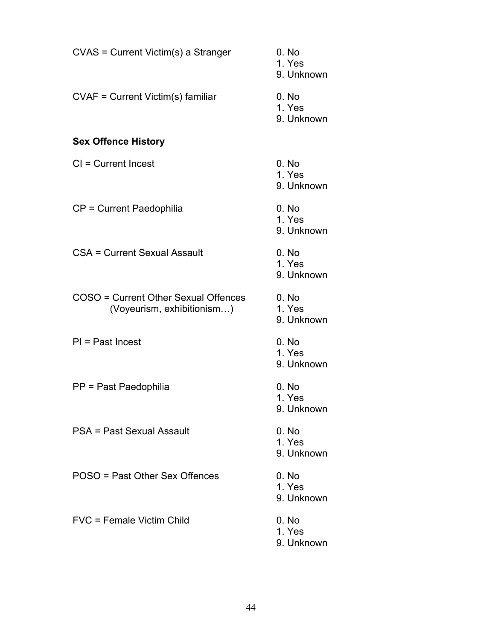| CVAS = Current Victim(s) a Stranger                                | 0. No<br>1. Yes<br>9. Unknown |
|--------------------------------------------------------------------|-------------------------------|
| CVAF = Current Victim(s) familiar                                  | 0. No<br>1. Yes<br>9. Unknown |
| <b>Sex Offence History</b>                                         |                               |
| $Cl = Current$ Incest                                              | 0. No<br>1. Yes<br>9. Unknown |
| CP = Current Paedophilia                                           | 0. No<br>1. Yes<br>9. Unknown |
| CSA = Current Sexual Assault                                       | 0. No<br>1. Yes<br>9. Unknown |
| COSO = Current Other Sexual Offences<br>(Voyeurism, exhibitionism) | 0. No<br>1. Yes<br>9. Unknown |
| $PI = Past$ Incest                                                 | 0. No<br>1. Yes<br>9. Unknown |
| PP = Past Paedophilia                                              | 0. No<br>1. Yes<br>9. Unknown |
| PSA = Past Sexual Assault                                          | 0. No<br>1. Yes<br>9. Unknown |
| POSO = Past Other Sex Offences                                     | 0. No<br>1. Yes<br>9. Unknown |
| FVC = Female Victim Child                                          | 0. No<br>1. Yes<br>9. Unknown |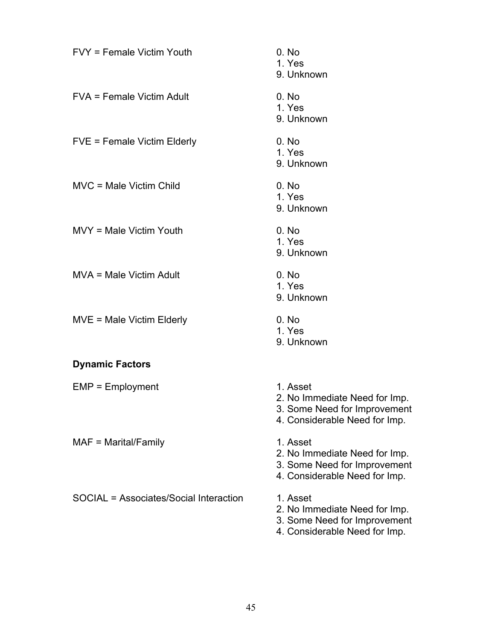| FVY = Female Victim Youth              | 0. No<br>1. Yes<br>9. Unknown                                                                              |
|----------------------------------------|------------------------------------------------------------------------------------------------------------|
| <b>FVA = Female Victim Adult</b>       | 0. No<br>1. Yes<br>9. Unknown                                                                              |
| FVE = Female Victim Elderly            | 0. No<br>1. Yes<br>9. Unknown                                                                              |
| MVC = Male Victim Child                | 0. No<br>1. Yes<br>9. Unknown                                                                              |
| MVY = Male Victim Youth                | 0. No<br>1. Yes<br>9. Unknown                                                                              |
| MVA = Male Victim Adult                | 0. No<br>1. Yes<br>9. Unknown                                                                              |
| MVE = Male Victim Elderly              | 0. No<br>1. Yes<br>9. Unknown                                                                              |
| <b>Dynamic Factors</b>                 |                                                                                                            |
| $EMP = Employment$                     | 1. Asset<br>2. No Immediate Need for Imp.<br>3. Some Need for Improvement<br>4. Considerable Need for Imp. |
| $MAF = \text{Marital}/\text{Family}$   | 1. Asset<br>2. No Immediate Need for Imp.<br>3. Some Need for Improvement<br>4. Considerable Need for Imp. |
| SOCIAL = Associates/Social Interaction | 1. Asset<br>2. No Immediate Need for Imp.<br>3. Some Need for Improvement                                  |

4. Considerable Need for Imp.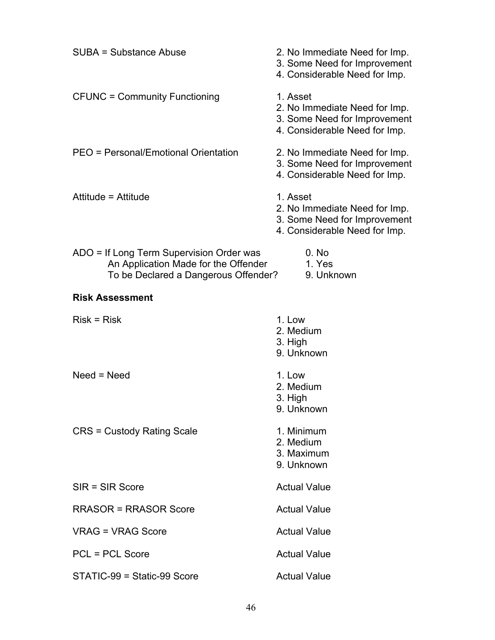| SUBA = Substance Abuse                                                                                                   | 2. No Immediate Need for Imp.<br>3. Some Need for Improvement<br>4. Considerable Need for Imp.             |  |  |  |  |
|--------------------------------------------------------------------------------------------------------------------------|------------------------------------------------------------------------------------------------------------|--|--|--|--|
| <b>CFUNC = Community Functioning</b>                                                                                     | 1. Asset<br>2. No Immediate Need for Imp.<br>3. Some Need for Improvement<br>4. Considerable Need for Imp. |  |  |  |  |
| PEO = Personal/Emotional Orientation                                                                                     | 2. No Immediate Need for Imp.<br>3. Some Need for Improvement<br>4. Considerable Need for Imp.             |  |  |  |  |
| Attitude = Attitude                                                                                                      | 1. Asset<br>2. No Immediate Need for Imp.<br>3. Some Need for Improvement<br>4. Considerable Need for Imp. |  |  |  |  |
| ADO = If Long Term Supervision Order was<br>An Application Made for the Offender<br>To be Declared a Dangerous Offender? | 0. No<br>1. Yes<br>9. Unknown                                                                              |  |  |  |  |
| <b>Risk Assessment</b>                                                                                                   |                                                                                                            |  |  |  |  |
| $Risk = Risk$                                                                                                            | 1. Low<br>2. Medium<br>3. High<br>9. Unknown                                                               |  |  |  |  |
| $Need = Need$                                                                                                            | 1. Low<br>2. Medium<br>3. High<br>9. Unknown                                                               |  |  |  |  |
| <b>CRS = Custody Rating Scale</b>                                                                                        | 1. Minimum<br>2. Medium<br>3. Maximum<br>9. Unknown                                                        |  |  |  |  |
| $SIR = SIR Score$                                                                                                        | <b>Actual Value</b>                                                                                        |  |  |  |  |
| <b>RRASOR = RRASOR Score</b>                                                                                             | <b>Actual Value</b>                                                                                        |  |  |  |  |
| <b>VRAG = VRAG Score</b>                                                                                                 | <b>Actual Value</b>                                                                                        |  |  |  |  |
| <b>PCL = PCL Score</b>                                                                                                   | <b>Actual Value</b>                                                                                        |  |  |  |  |
| STATIC-99 = Static-99 Score                                                                                              | <b>Actual Value</b>                                                                                        |  |  |  |  |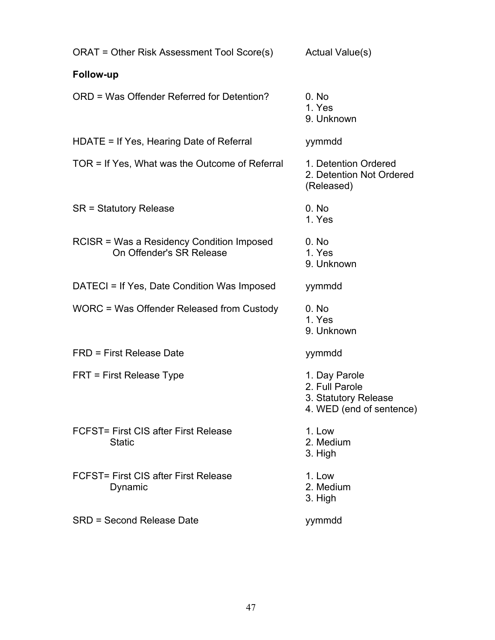| ORAT = Other Risk Assessment Tool Score(s) Actual Value(s)            |                                                                                     |  |  |  |
|-----------------------------------------------------------------------|-------------------------------------------------------------------------------------|--|--|--|
| <b>Follow-up</b>                                                      |                                                                                     |  |  |  |
| ORD = Was Offender Referred for Detention?                            | 0. No<br>1. Yes<br>9. Unknown                                                       |  |  |  |
| HDATE = If Yes, Hearing Date of Referral                              | yymmdd                                                                              |  |  |  |
| TOR = If Yes, What was the Outcome of Referral                        | 1. Detention Ordered<br>2. Detention Not Ordered<br>(Released)                      |  |  |  |
| SR = Statutory Release                                                | 0. No<br>1. Yes                                                                     |  |  |  |
| RCISR = Was a Residency Condition Imposed<br>On Offender's SR Release | 0. No<br>1. Yes<br>9. Unknown                                                       |  |  |  |
| DATECI = If Yes, Date Condition Was Imposed                           | yymmdd                                                                              |  |  |  |
| WORC = Was Offender Released from Custody                             | 0. No<br>1. Yes<br>9. Unknown                                                       |  |  |  |
| <b>FRD = First Release Date</b>                                       | yymmdd                                                                              |  |  |  |
| FRT = First Release Type                                              | 1. Day Parole<br>2. Full Parole<br>3. Statutory Release<br>4. WED (end of sentence) |  |  |  |
| FCFST= First CIS after First Release<br><b>Static</b>                 | 1. Low<br>2. Medium<br>3. High                                                      |  |  |  |
| FCFST= First CIS after First Release<br>Dynamic                       | 1. Low<br>2. Medium<br>3. High                                                      |  |  |  |
| <b>SRD = Second Release Date</b>                                      | yymmdd                                                                              |  |  |  |
|                                                                       |                                                                                     |  |  |  |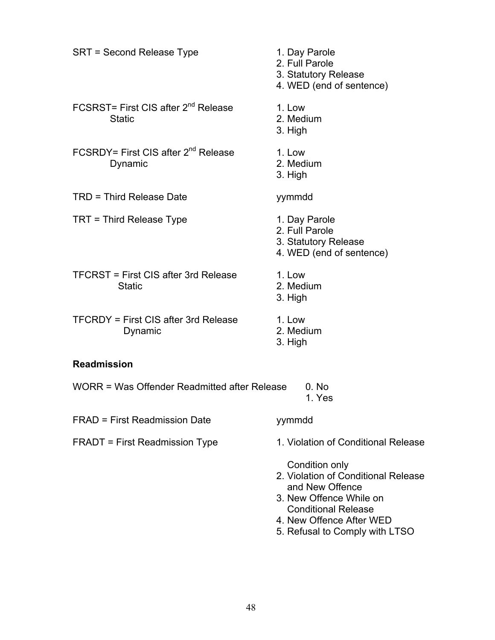| SRT = Second Release Type                                        | 1. Day Parole<br>2. Full Parole<br>3. Statutory Release<br>4. WED (end of sentence)                                               |
|------------------------------------------------------------------|-----------------------------------------------------------------------------------------------------------------------------------|
| FCSRST= First CIS after 2 <sup>nd</sup> Release<br><b>Static</b> | 1. Low<br>2. Medium<br>3. High                                                                                                    |
| FCSRDY= First CIS after 2 <sup>nd</sup> Release<br>Dynamic       | 1. Low<br>2. Medium<br>3. High                                                                                                    |
| TRD = Third Release Date                                         | yymmdd                                                                                                                            |
| TRT = Third Release Type                                         | 1. Day Parole<br>2. Full Parole<br>3. Statutory Release<br>4. WED (end of sentence)                                               |
| TFCRST = First CIS after 3rd Release<br><b>Static</b>            | 1. Low<br>2. Medium<br>3. High                                                                                                    |
| <b>TFCRDY = First CIS after 3rd Release</b><br>Dynamic           | 1. Low<br>2. Medium<br>3. High                                                                                                    |
| <b>Readmission</b>                                               |                                                                                                                                   |
| WORR = Was Offender Readmitted after Release                     | 0. No<br>1. Yes                                                                                                                   |
| FRAD = First Readmission Date                                    | yymmdd                                                                                                                            |
| <b>FRADT</b> = First Readmission Type                            | 1. Violation of Conditional Release                                                                                               |
|                                                                  | Condition only<br>2. Violation of Conditional Release<br>and New Offence<br>3. New Offence While on<br><b>Conditional Release</b> |

- 4. New Offence After WED
- 5. Refusal to Comply with LTSO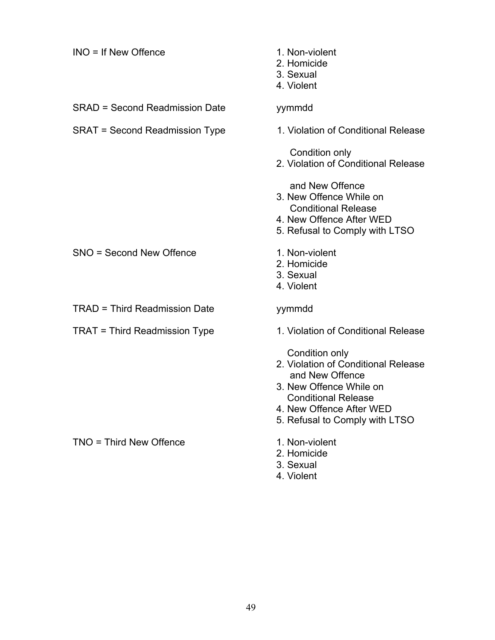| $INO = If New Office$                 | 1. Non-violent<br>2. Homicide<br>3. Sexual<br>4. Violent                                                                                                                                        |
|---------------------------------------|-------------------------------------------------------------------------------------------------------------------------------------------------------------------------------------------------|
| <b>SRAD = Second Readmission Date</b> | yymmdd                                                                                                                                                                                          |
| SRAT = Second Readmission Type        | 1. Violation of Conditional Release                                                                                                                                                             |
|                                       | Condition only<br>2. Violation of Conditional Release                                                                                                                                           |
|                                       | and New Offence<br>3. New Offence While on<br><b>Conditional Release</b><br>4. New Offence After WED<br>5. Refusal to Comply with LTSO                                                          |
| SNO = Second New Offence              | 1. Non-violent<br>2. Homicide<br>3. Sexual<br>4. Violent                                                                                                                                        |
| <b>TRAD = Third Readmission Date</b>  | yymmdd                                                                                                                                                                                          |
| <b>TRAT = Third Readmission Type</b>  | 1. Violation of Conditional Release                                                                                                                                                             |
|                                       | Condition only<br>2. Violation of Conditional Release<br>and New Offence<br>3. New Offence While on<br><b>Conditional Release</b><br>4. New Offence After WED<br>5. Refusal to Comply with LTSO |
| TNO = Third New Offence               | 1. Non-violent<br>2. Homicide<br>3. Sexual<br>4. Violent                                                                                                                                        |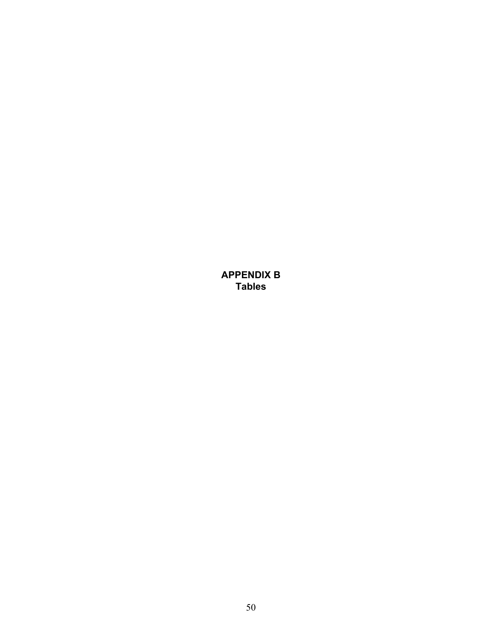<span id="page-56-0"></span>**APPENDIX B Tables**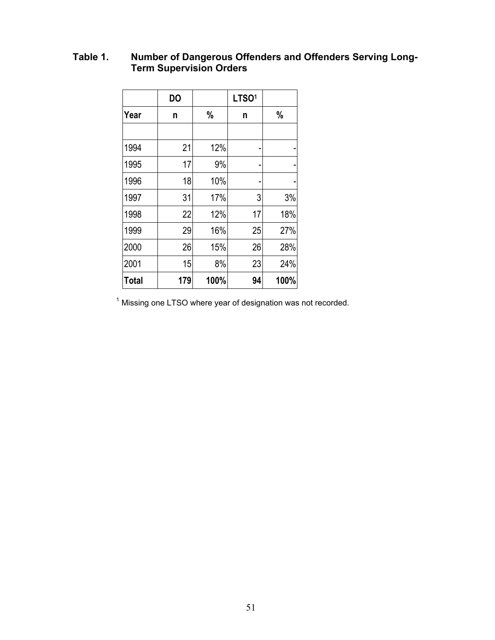#### <span id="page-57-0"></span>**Table 1. Number of Dangerous Offenders and Offenders Serving Long-Term Supervision Orders**

|              | <b>DO</b> |      | LTSO <sup>1</sup> |      |
|--------------|-----------|------|-------------------|------|
| Year         | n         | %    | n                 | %    |
|              |           |      |                   |      |
| 1994         | 21        | 12%  |                   |      |
| 1995         | 17        | 9%   |                   |      |
| 1996         | 18        | 10%  |                   |      |
| 1997         | 31        | 17%  | 3                 | 3%   |
| 1998         | 22        | 12%  | 17                | 18%  |
| 1999         | 29        | 16%  | 25                | 27%  |
| 2000         | 26        | 15%  | 26                | 28%  |
| 2001         | 15        | 8%   | 23                | 24%  |
| <b>Total</b> | 179       | 100% | 94                | 100% |

Missing one LTSO where year of designation was not recorded.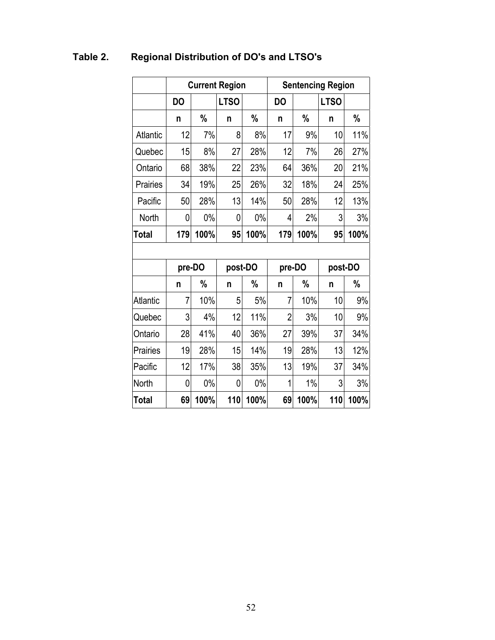|                 |           |               | <b>Current Region</b> |               |                |        | <b>Sentencing Region</b> |               |
|-----------------|-----------|---------------|-----------------------|---------------|----------------|--------|--------------------------|---------------|
|                 | <b>DO</b> |               | <b>LTSO</b>           |               | <b>DO</b>      |        | <b>LTSO</b>              |               |
|                 | n         | $\%$          | n                     | $\%$          | n              | $\%$   | n                        | $\%$          |
| Atlantic        | 12        | 7%            | 8                     | 8%            | 17             | 9%     | 10                       | 11%           |
| Quebec          | 15        | 8%            | 27                    | 28%           | 12             | 7%     | 26                       | 27%           |
| Ontario         | 68        | 38%           | 22                    | 23%           | 64             | 36%    | 20                       | 21%           |
| Prairies        | 34        | 19%           | 25                    | 26%           | 32             | 18%    | 24                       | 25%           |
| Pacific         | 50        | 28%           | 13                    | 14%           | 50             | 28%    | 12                       | 13%           |
| North           | 0         | $0\%$         | 0                     | $0\%$         | 4              | 2%     | 3                        | 3%            |
| <b>Total</b>    | 179       | 100%          | 95                    | 100%          | 179            | 100%   | 95                       | 100%          |
|                 |           |               |                       |               |                |        |                          |               |
|                 | pre-DO    |               |                       | post-DO       |                | pre-DO | post-DO                  |               |
|                 | n         | $\frac{0}{0}$ | n                     | $\frac{0}{0}$ | n              | %      | n                        | $\frac{0}{0}$ |
| <b>Atlantic</b> | 7         | 10%           | 5                     | 5%            | 7              | 10%    | 10                       | 9%            |
| Quebec          | 3         | 4%            | 12                    | 11%           | $\overline{2}$ | 3%     | 10                       | 9%            |
| Ontario         | 28        | 41%           | 40                    | 36%           | 27             | 39%    | 37                       | 34%           |
| Prairies        | 19        | 28%           | 15                    | 14%           | 19             | 28%    | 13                       | 12%           |
| Pacific         | 12        | 17%           | 38                    | 35%           | 13             | 19%    | 37                       | 34%           |
| North           | 0         | $0\%$         | 0                     | $0\%$         | 1              | $1\%$  | 3                        | 3%            |
| <b>Total</b>    | 69        | 100%          | 110                   | 100%          | 69             | 100%   | 110                      | 100%          |

## <span id="page-58-0"></span>**Table 2. Regional Distribution of DO's and LTSO's**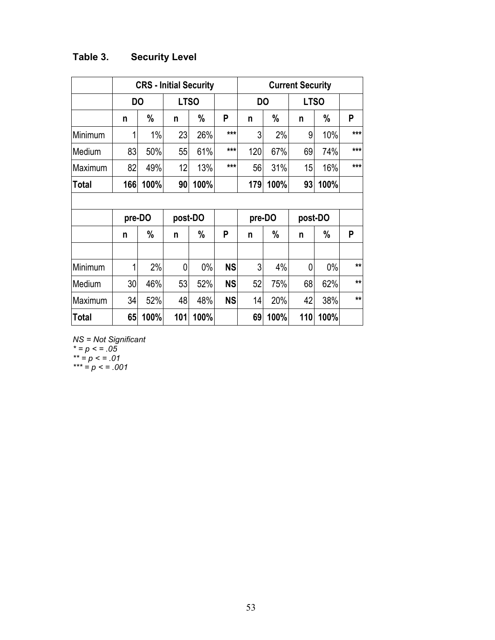## <span id="page-59-0"></span>**Table 3. Security Level**

|              |        |      |     | <b>CRS - Initial Security</b> |           |           |      |             |         |              |
|--------------|--------|------|-----|-------------------------------|-----------|-----------|------|-------------|---------|--------------|
|              | DO     |      |     | <b>LTSO</b>                   |           | <b>DO</b> |      | <b>LTSO</b> |         |              |
|              | n      | $\%$ | n   | %                             | P         | n         | $\%$ | n           | $\%$    | P            |
| Minimum      | 1      | 1%   | 23  | 26%                           | $***$     | 3         | 2%   | 9           | 10%     | $***$        |
| Medium       | 83     | 50%  | 55  | 61%                           | ***       | 120       | 67%  | 69          | 74%     | $***$        |
| Maximum      | 82     | 49%  | 12  | 13%                           | ***       | 56        | 31%  | 15          | 16%     | $***$        |
| <b>Total</b> | 166    | 100% | 90  | 100%                          |           | 179       | 100% | 93          | 100%    |              |
|              |        |      |     |                               |           |           |      |             |         |              |
|              | pre-DO |      |     | post-DO                       |           | pre-DO    |      |             | post-DO |              |
|              | n      | %    | n   | %                             | P         | n         | $\%$ | n           | %       | P            |
|              |        |      |     |                               |           |           |      |             |         |              |
| Minimum      | 1      | 2%   | 0   | $0\%$                         | <b>NS</b> | 3         | 4%   | 0           | $0\%$   | $\star\star$ |
| Medium       | 30     | 46%  | 53  | 52%                           | <b>NS</b> | 52        | 75%  | 68          | 62%     | $\star\star$ |
| Maximum      | 34     | 52%  | 48  | 48%                           | <b>NS</b> | 14        | 20%  | 42          | 38%     | $**$         |
| <b>Total</b> | 65     | 100% | 101 | 100%                          |           | 69        | 100% | 110         | 100%    |              |

*NS = Not Significant \* = p < = .05 \*\* = p < = .01*

*\*\*\* = p < = .001*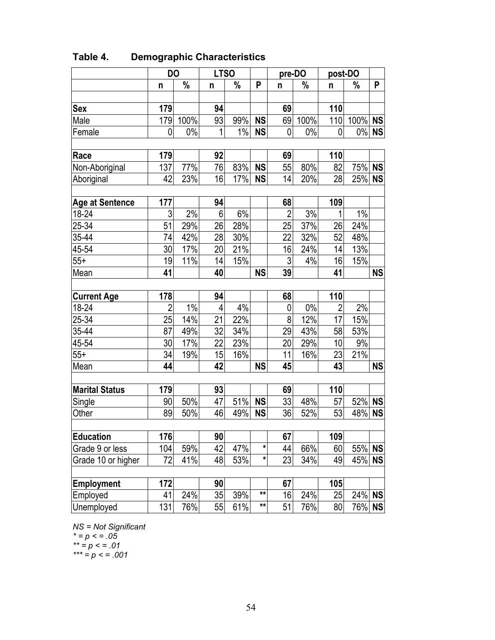|                       | <b>DO</b>      |               | <b>LTSO</b> |       |              | pre-DO         |       | post-DO        |               |           |
|-----------------------|----------------|---------------|-------------|-------|--------------|----------------|-------|----------------|---------------|-----------|
|                       | n              | $\frac{0}{0}$ | n           | $\%$  | P            | n              | $\%$  | n              | $\frac{0}{0}$ | P         |
|                       |                |               |             |       |              |                |       |                |               |           |
| Sex                   | 179            |               | 94          |       |              | 69             |       | 110            |               |           |
| Male                  | 179            | 100%          | 93          | 99%   | <b>NS</b>    | 69             | 100%  | 110            | 100%          | <b>NS</b> |
| Female                | 0              | $0\%$         | 1           | $1\%$ | <b>NS</b>    | $\mathbf 0$    | $0\%$ | 0              | $0\%$         | <b>NS</b> |
|                       |                |               |             |       |              |                |       |                |               |           |
| Race                  | 179            |               | 92          |       |              | 69             |       | 110            |               |           |
| Non-Aboriginal        | 137            | 77%           | 76          | 83%   | <b>NS</b>    | 55             | 80%   | 82             | 75% NS        |           |
| Aboriginal            | 42             | 23%           | 16          | 17%   | <b>NS</b>    | 14             | 20%   | 28             | 25%           | <b>NS</b> |
|                       |                |               |             |       |              |                |       |                |               |           |
| Age at Sentence       | 177            |               | 94          |       |              | 68             |       | 109            |               |           |
| 18-24                 | 3              | 2%            | 6           | 6%    |              | $\overline{2}$ | 3%    | 1              | $1\%$         |           |
| 25-34                 | 51             | 29%           | 26          | 28%   |              | 25             | 37%   | 26             | 24%           |           |
| 35-44                 | 74             | 42%           | 28          | 30%   |              | 22             | 32%   | 52             | 48%           |           |
| 45-54                 | 30             | 17%           | 20          | 21%   |              | 16             | 24%   | 14             | 13%           |           |
| $55+$                 | 19             | 11%           | 14          | 15%   |              | 3              | 4%    | 16             | 15%           |           |
| Mean                  | 41             |               | 40          |       | <b>NS</b>    | 39             |       | 41             |               | <b>NS</b> |
|                       |                |               |             |       |              |                |       |                |               |           |
| <b>Current Age</b>    | 178            |               | 94          |       |              | 68             |       | 110            |               |           |
| 18-24                 | $\overline{2}$ | $1\%$         | 4           | 4%    |              | 0              | $0\%$ | $\overline{2}$ | 2%            |           |
| 25-34                 | 25             | 14%           | 21          | 22%   |              | $\overline{8}$ | 12%   | 17             | 15%           |           |
| 35-44                 | 87             | 49%           | 32          | 34%   |              | 29             | 43%   | 58             | 53%           |           |
| 45-54                 | 30             | 17%           | 22          | 23%   |              | 20             | 29%   | 10             | 9%            |           |
| $55+$                 | 34             | 19%           | 15          | 16%   |              | 11             | 16%   | 23             | 21%           |           |
| Mean                  | 44             |               | 42          |       | <b>NS</b>    | 45             |       | 43             |               | <b>NS</b> |
|                       |                |               |             |       |              |                |       |                |               |           |
| <b>Marital Status</b> | 179            |               | 93          |       |              | 69             |       | 110            |               |           |
| Single                | 90             | 50%           | 47          | 51%   | <b>NS</b>    | 33             | 48%   | 57             | 52%           | <b>NS</b> |
| Other                 | 89             | 50%           | 46          | 49%   | <b>NS</b>    | 36             | 52%   | 53             | 48%           | <b>NS</b> |
|                       |                |               |             |       |              |                |       |                |               |           |
| <b>Education</b>      | 176            |               | 90          |       |              | 67             |       | 109            |               |           |
| Grade 9 or less       | 104            | 59%           | 42          | 47%   | $\pmb{\ast}$ | 44             | 66%   | 60             | 55%           | <b>NS</b> |
| Grade 10 or higher    | 72             | 41%           | 48          | 53%   | $\ast$       | 23             | 34%   | 49             | 45%           | <b>NS</b> |
|                       |                |               |             |       |              |                |       |                |               |           |
| <b>Employment</b>     | 172            |               | 90          |       |              | 67             |       | 105            |               |           |
| Employed              | 41             | 24%           | 35          | 39%   | $\star\star$ | 16             | 24%   | 25             | 24% NS        |           |
| Unemployed            | 131            | 76%           | 55          | 61%   | $\star\star$ | 51             | 76%   | 80             | 76%           | <b>NS</b> |

## <span id="page-60-0"></span>**Table 4. Demographic Characteristics**

*NS = Not Significant*

*\* = p < = .05*

*\*\* = p < = .01*

*\*\*\* = p < = .001*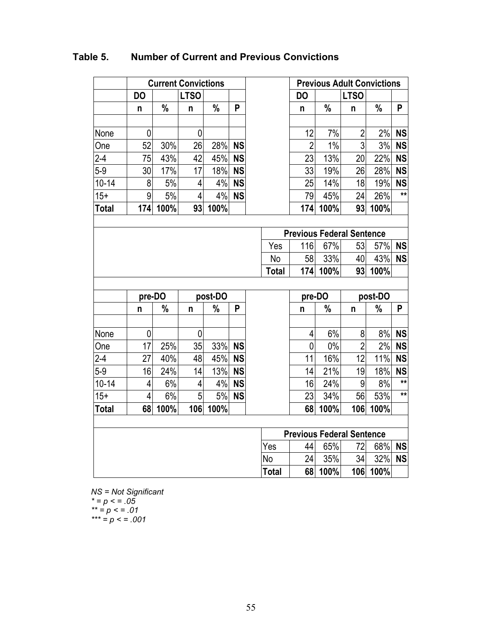|              |           |      | <b>Current Convictions</b> |         |           |              |                                  |               | <b>Previous Adult Convictions</b> |         |              |
|--------------|-----------|------|----------------------------|---------|-----------|--------------|----------------------------------|---------------|-----------------------------------|---------|--------------|
|              | <b>DO</b> |      | <b>LTSO</b>                |         |           |              | <b>DO</b>                        |               | <b>LTSO</b>                       |         |              |
|              | n         | $\%$ | n                          | $\%$    | P         |              | n                                | $\frac{0}{0}$ | n                                 | $\%$    | P            |
|              |           |      |                            |         |           |              |                                  |               |                                   |         |              |
| None         | 0         |      | $\mathbf 0$                |         |           |              | 12                               | 7%            | $\overline{2}$                    | 2%      | <b>NS</b>    |
| One          | 52        | 30%  | 26                         | 28%     | <b>NS</b> |              | $\overline{2}$                   | 1%            | 3                                 | 3%      | <b>NS</b>    |
| $2 - 4$      | 75        | 43%  | 42                         | 45%     | <b>NS</b> |              | 23                               | 13%           | 20                                | 22%     | <b>NS</b>    |
| $5-9$        | 30        | 17%  | 17                         | 18%     | <b>NS</b> |              | 33                               | 19%           | 26                                | 28%     | <b>NS</b>    |
| $10 - 14$    | 8         | 5%   | $\overline{4}$             | 4%      | <b>NS</b> |              | 25                               | 14%           | 18                                | 19%     | <b>NS</b>    |
| $15+$        | 9         | 5%   | 4                          | 4%      | <b>NS</b> |              | 79                               | 45%           | 24                                | 26%     | $\star\star$ |
| <b>Total</b> | 174       | 100% | 93                         | 100%    |           |              | 174                              | 100%          | 93                                | 100%    |              |
|              |           |      |                            |         |           |              |                                  |               |                                   |         |              |
|              |           |      |                            |         |           |              | <b>Previous Federal Sentence</b> |               |                                   |         |              |
|              |           |      |                            |         |           | Yes          | 116                              | 67%           | 53                                | 57%     | <b>NS</b>    |
|              |           |      |                            |         |           | No           | 58                               | 33%           | 40                                | 43%     | <b>NS</b>    |
|              |           |      |                            |         |           | <b>Total</b> | 174                              | 100%          | 93                                | 100%    |              |
|              |           |      |                            |         |           |              |                                  |               |                                   |         |              |
|              | pre-DO    |      |                            | post-DO |           |              | pre-DO                           |               |                                   | post-DO |              |
|              | n         | $\%$ | n                          | $\%$    | P         |              | n                                | %             | n                                 | $\%$    | P            |
|              |           |      |                            |         |           |              |                                  |               |                                   |         |              |
| None         | 0         |      | 0                          |         |           |              | 4                                | 6%            | 8                                 | 8%      | <b>NS</b>    |
| One          | 17        | 25%  | 35                         | 33%     | <b>NS</b> |              | 0                                | $0\%$         | $\overline{2}$                    | 2%      | <b>NS</b>    |
| $2 - 4$      | 27        | 40%  | 48                         | 45%     | <b>NS</b> |              | 11                               | 16%           | 12                                | 11%     | <b>NS</b>    |
| $5-9$        | 16        | 24%  | 14                         | 13%     | <b>NS</b> |              | 14                               | 21%           | 19                                | 18%     | <b>NS</b>    |
| $10 - 14$    | 4         | 6%   | 4                          | 4%      | <b>NS</b> |              | 16                               | 24%           | 9                                 | 8%      | $\star\star$ |
| $15+$        | 4         | 6%   | 5                          | 5%      | <b>NS</b> |              | 23                               | 34%           | 56                                | 53%     | $\star\star$ |
| <b>Total</b> | 68        | 100% | 106                        | 100%    |           |              | 68                               | 100%          | 106                               | 100%    |              |
|              |           |      |                            |         |           |              |                                  |               |                                   |         |              |
|              |           |      |                            |         |           |              | <b>Previous Federal Sentence</b> |               |                                   |         |              |
|              |           |      |                            |         |           | Yes          | 44                               | 65%           | 72                                | 68%     | <b>NS</b>    |
|              |           |      |                            |         |           | No           | 24                               | 35%           | 34                                | 32%     | <b>NS</b>    |
|              |           |      |                            |         |           | Total        | 68                               | 100%          | 106                               | 100%    |              |

### <span id="page-61-0"></span>**Table 5. Number of Current and Previous Convictions**

*NS = Not Significant \* = p < = .05 \*\* = p < = .01 \*\*\* = p < = .001*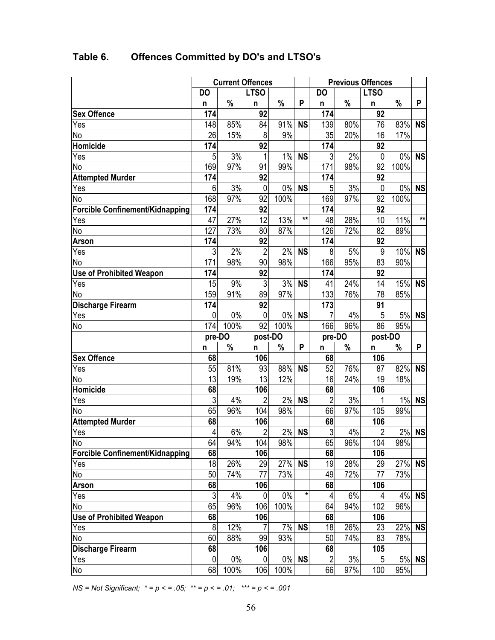|                                        | <b>Current Offences</b> |       |                | <b>Previous Offences</b> |              |                      |           |                |           |              |
|----------------------------------------|-------------------------|-------|----------------|--------------------------|--------------|----------------------|-----------|----------------|-----------|--------------|
|                                        | <b>DO</b>               |       | <b>LTSO</b>    |                          |              | <b>DO</b>            |           | <b>LTSO</b>    |           |              |
|                                        | n                       | %     | n              | $\%$                     | P            | n                    | $\%$      | n              | $\%$      | P            |
| <b>Sex Offence</b>                     | 174                     |       | 92             |                          |              | 174                  |           | 92             |           |              |
| Yes                                    | 148                     | 85%   | 84             | 91%                      | <b>NS</b>    | 139                  | 80%       | 76             | 83%       | <b>NS</b>    |
| No                                     | 26                      | 15%   | 8              | 9%                       |              | 35                   | 20%       | 16             | 17%       |              |
| Homicide                               | 174                     |       | 92             |                          |              | 174                  |           | 92             |           |              |
| Yes                                    | $\overline{5}$          | 3%    | 1              | 1%                       | <b>NS</b>    | $\mathfrak{Z}$       | 2%        | 0              |           | 0% NS        |
| No                                     | 169                     | 97%   | 91             | 99%                      |              | 171                  | 98%       | 92             | 100%      |              |
| <b>Attempted Murder</b>                | 174                     |       | 92             |                          |              | 174                  |           | 92             |           |              |
| Yes                                    | 6                       | 3%    | 0              | $0\%$                    | <b>NS</b>    | 5                    | 3%        | $\mathbf 0$    | $0\%$     | <b>NS</b>    |
| <b>No</b>                              | 168                     | 97%   | 92             | 100%                     |              | 169                  | 97%       | 92             | 100%      |              |
| <b>Forcible Confinement/Kidnapping</b> | 174                     |       | 92             |                          |              | 174                  |           | 92             |           |              |
| Yes                                    | 47                      | 27%   | 12             | 13%                      | $\star\star$ | 48                   | 28%       | 10             | 11%       | $**$         |
| No                                     | 127                     | 73%   | 80             | 87%                      |              | 126                  | 72%       | 82             | 89%       |              |
| <b>Arson</b>                           | 174                     |       | 92             |                          |              | 174                  |           | 92             |           |              |
| Yes                                    | $\mathfrak{Z}$          | 2%    | $\overline{2}$ | 2%                       | <b>NS</b>    | 8                    | 5%        | 9              | 10%       | <b>NS</b>    |
| No                                     | 171                     | 98%   | 90             | 98%                      |              | 166                  | 95%       | 83             | 90%       |              |
| <b>Use of Prohibited Weapon</b>        | 174                     |       | 92             |                          |              | 174                  |           | 92             |           |              |
| Yes                                    | 15                      | 9%    | 3              | 3%                       | <b>NS</b>    | 41                   | 24%       | 14             | 15%       | <b>NS</b>    |
| No                                     | 159                     | 91%   | 89             | 97%                      |              | 133                  | 76%       | 78             | 85%       |              |
| <b>Discharge Firearm</b>               | 174                     |       | 92             |                          |              | 173                  |           | 91             |           |              |
| Yes                                    | 0                       | 0%    | 0              | $0\%$                    | <b>NS</b>    | 7                    | 4%        | 5              | 5%        | <b>NS</b>    |
| No                                     | 174                     | 100%  | 92             | 100%                     |              | 166                  | 96%       | 86             | 95%       |              |
|                                        | pre-DO                  |       | post-DO        |                          |              | pre-DO               |           | post-DO        |           |              |
|                                        | n                       | %     | n              | %                        | P            | n                    | $\%$      | n              | %         | P            |
| <b>Sex Offence</b>                     | 68                      |       | 106            |                          |              | 68                   |           | 106            |           |              |
| Yes                                    | 55                      | 81%   | 93             | 88%                      | <b>NS</b>    | 52                   | 76%       | 87             | 82%       | <b>NS</b>    |
| No                                     | 13                      | 19%   | 13             | 12%                      |              | 16                   | 24%       | 19             | 18%       |              |
| Homicide                               | 68                      |       | 106            |                          |              | 68                   |           | 106            |           |              |
| Yes                                    | $\sqrt{3}$              | 4%    | $\overline{2}$ | 2%                       | <b>NS</b>    | $\overline{2}$       | 3%        |                | $1\%$     | <b>NS</b>    |
| No                                     | 65                      | 96%   | 104            | 98%                      |              | 66                   | 97%       | 105            | 99%       |              |
| <b>Attempted Murder</b>                | 68                      |       | 106            |                          |              | 68                   |           | 106            |           |              |
| Yes                                    |                         |       |                | 2%                       | <b>NS</b>    | $\mathfrak{Z}$       | 4%        | $\overline{2}$ |           | 2% <b>NS</b> |
|                                        | 4                       | 6%    | $\overline{2}$ |                          |              |                      |           |                |           |              |
| No                                     | 64                      | 94%   | 104            | 98%                      |              | 65                   | 96%       | 104            | 98%       |              |
| Forcible Confinement/Kidnapping        | 68                      |       | 106            |                          |              | 68                   |           | 106            |           |              |
| Yes                                    | 18                      | 26%   | 29             | 27%                      | <b>NS</b>    | 19                   | 28%       | 29             | 27%       | <b>NS</b>    |
| No                                     | 50                      | 74%   | 77             | 73%                      |              | 49                   | 72%       | 77             | 73%       |              |
| Arson                                  | 68                      |       | 106            |                          |              | 68                   |           | 106            |           |              |
| Yes                                    | $\mathfrak{S}$          | 4%    | 0              | 0%                       | $\star$      | 4                    | 6%        | 4              | 4%        | <b>NS</b>    |
| No                                     | 65                      | 96%   | 106            | 100%                     |              | 64                   | 94%       | 102            | 96%       |              |
| <b>Use of Prohibited Weapon</b>        | 68                      |       | 106            |                          |              | 68                   |           | 106            |           |              |
| Yes                                    | 8                       | 12%   |                | 7%                       | <b>NS</b>    | 18                   | 26%       | 23             | 22%       | <b>NS</b>    |
| No                                     | 60                      | 88%   | 99             | 93%                      |              | 50                   | 74%       | 83             | 78%       |              |
| <b>Discharge Firearm</b>               | 68                      |       | 106            |                          |              | 68                   |           | 105            |           |              |
| Yes                                    | 0<br>68                 | $0\%$ | 0              | 100%                     | 0% NS        | $\overline{c}$<br>66 | 3%<br>97% | 5              | 5%<br>95% | <b>NS</b>    |

## <span id="page-62-0"></span>**Table 6. Offences Committed by DO's and LTSO's**

*NS = Not Significant; \* = p < = .05; \*\* = p < = .01; \*\*\* = p < = .001*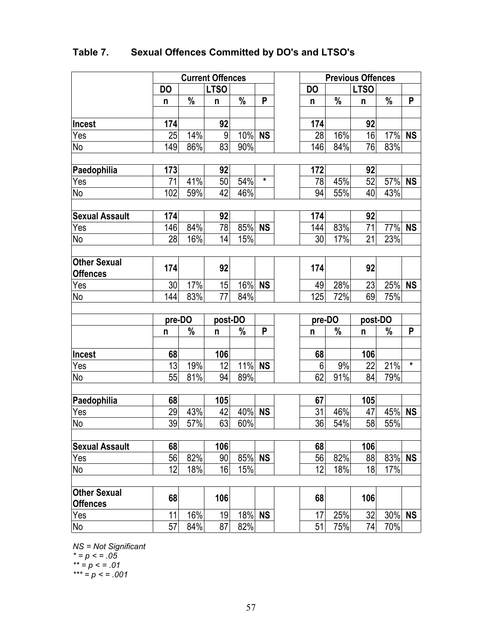<span id="page-63-0"></span>

| Table 7. |  |  | <b>Sexual Offences Committed by DO's and LTSO's</b> |
|----------|--|--|-----------------------------------------------------|
|----------|--|--|-----------------------------------------------------|

|                       |           |        | <b>Current Offences</b> |        |         | <b>Previous Offences</b> |     |             |           |         |
|-----------------------|-----------|--------|-------------------------|--------|---------|--------------------------|-----|-------------|-----------|---------|
|                       | <b>DO</b> |        | <b>LTSO</b>             |        |         | <b>DO</b>                |     | <b>LTSO</b> |           |         |
|                       | n         | $\%$   | n                       | $\%$   | P       | n                        | %   | n           | $\%$      | P       |
|                       |           |        |                         |        |         |                          |     |             |           |         |
| Incest                | 174       |        | 92                      |        |         | 174                      |     | 92          |           |         |
| Yes                   | 25        | 14%    | $\overline{9}$          | 10% NS |         | 28                       | 16% | 16          | 17% NS    |         |
| No                    | 149       | 86%    | 83                      | 90%    |         | 146                      | 84% | 76          | 83%       |         |
| Paedophilia           | 173       |        | 92                      |        |         | 172                      |     | 92          |           |         |
| Yes                   | 71        | 41%    | 50                      | 54%    | $\star$ | 78                       | 45% | 52          | 57% NS    |         |
| No                    | 102       | 59%    | 42                      | 46%    |         | 94                       | 55% | 40          | 43%       |         |
|                       |           |        |                         |        |         |                          |     |             |           |         |
| <b>Sexual Assault</b> | 174       |        | 92                      |        |         | 174                      |     | 92          |           |         |
| Yes                   | 146       | 84%    | 78                      | 85% NS |         | 144                      | 83% | 71          | 77% NS    |         |
| No                    | 28        | 16%    | 14                      | 15%    |         | 30 <sup>°</sup>          | 17% | 21          | 23%       |         |
|                       |           |        |                         |        |         |                          |     |             |           |         |
| <b>Other Sexual</b>   | 174       |        | 92                      |        |         | 174                      |     | 92          |           |         |
| <b>Offences</b>       |           |        |                         |        |         |                          |     |             |           |         |
| Yes                   | 30        | 17%    | 15                      | 16% NS |         | 49                       | 28% | 23          | 25% NS    |         |
| No                    | 144       | 83%    | 77                      | 84%    |         | 125                      | 72% | 69          | 75%       |         |
|                       |           | pre-DO | post-DO                 |        |         | pre-DO                   |     | post-DO     |           |         |
|                       | n         | %      | n                       | $\%$   | P       | n                        | %   | n           | $\%$      | P       |
|                       |           |        |                         |        |         |                          |     |             |           |         |
| <b>Incest</b>         | 68        |        | 106                     |        |         | 68                       |     | 106         |           |         |
| Yes <sub>2</sub>      | 13        | 19%    | 12                      | 11% NS |         | 6                        | 9%  | 22          | 21%       | $\star$ |
| No                    | 55        | 81%    | 94                      | 89%    |         | 62                       | 91% | 84          | 79%       |         |
|                       |           |        |                         |        |         |                          |     |             |           |         |
| Paedophilia           | 68        |        | 105                     |        |         | 67                       |     | 105         |           |         |
| Yes                   | 29        | 43%    | 42                      | 40% NS |         | 31                       | 46% | 47          | 45% NS    |         |
| No                    | 39        | 57%    | 63                      | 60%    |         | 36                       | 54% | 58          | 55%       |         |
| <b>Sexual Assault</b> | 68        |        | 106                     |        |         | 68                       |     | 106         |           |         |
| Yes                   | 56        | 82%    | 90                      | 85% NS |         | 56                       | 82% | 88          | 83% NS    |         |
| No                    | 12        | 18%    | 16                      | 15%    |         | 12                       | 18% | 18          | 17%       |         |
|                       |           |        |                         |        |         |                          |     |             |           |         |
| <b>Other Sexual</b>   |           |        |                         |        |         |                          |     |             |           |         |
| <b>Offences</b>       | 68        |        | 106                     |        |         | 68                       |     | 106         |           |         |
| Yes                   | 11        | 16%    | 19                      | 18% NS |         | 17                       | 25% | 32          | $30\%$ NS |         |
| No                    | 57        | 84%    | 87                      | 82%    |         | 51                       | 75% | 74          | 70%       |         |

*NS = Not Significant \* = p < = .05 \*\* = p < = .01 \*\*\* = p < = .001*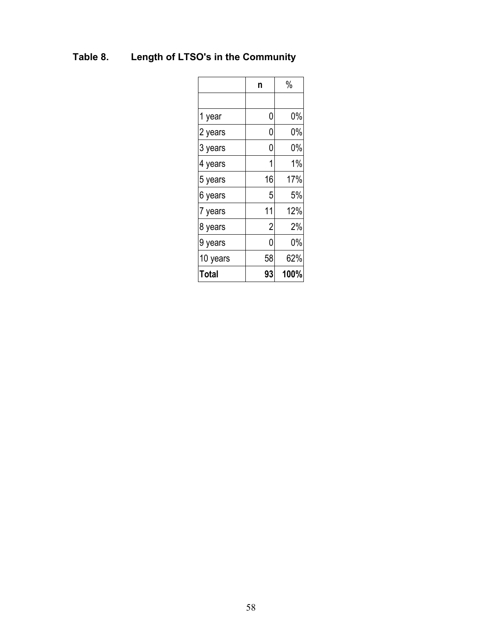# <span id="page-64-0"></span>**Table 8. Length of LTSO's in the Community**

|          | n              | $\%$ |
|----------|----------------|------|
|          |                |      |
| 1 year   | 0              | 0%   |
| 2 years  | 0              | 0%   |
| 3 years  | 0              | 0%   |
| 4 years  |                | 1%   |
| 5 years  | 16             | 17%  |
| 6 years  | 5              | 5%   |
| 7 years  | 11             | 12%  |
| 8 years  | $\overline{2}$ | 2%   |
| 9 years  | 0              | 0%   |
| 10 years | 58             | 62%  |
| Total    | 93             | 100% |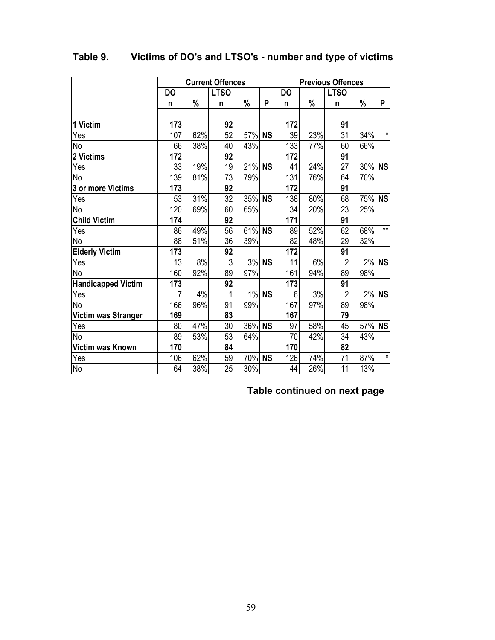|                           |                |                  | <b>Current Offences</b> |        |           |           |      | <b>Previous Offences</b> |        |              |
|---------------------------|----------------|------------------|-------------------------|--------|-----------|-----------|------|--------------------------|--------|--------------|
|                           | <b>DO</b>      |                  | <b>LTSO</b>             |        |           | <b>DO</b> |      | <b>LTSO</b>              |        |              |
|                           | n              | $\%$             | n                       | $\%$   | P         | n         | $\%$ | n                        | $\%$   | P            |
|                           |                |                  |                         |        |           |           |      |                          |        |              |
| 1 Victim                  | 173            |                  | 92                      |        |           | 172       |      | 91                       |        |              |
| Yes                       | 107            | 62%              | 52                      | 57%    | <b>NS</b> | 39        | 23%  | 31                       | 34%    | $\star$      |
| No                        | 66             | 38%              | 40                      | 43%    |           | 133       | 77%  | 60                       | 66%    |              |
| 2 Victims                 | 172            |                  | 92                      |        |           | 172       |      | 91                       |        |              |
| Yes                       | 33             | 19%              | 19                      | 21%    | <b>NS</b> | 41        | 24%  | 27                       | 30%    | <b>NS</b>    |
| No                        | 139            | 81%              | 73                      | 79%    |           | 131       | 76%  | 64                       | 70%    |              |
| 3 or more Victims         | 173            |                  | 92                      |        |           | 172       |      | 91                       |        |              |
| Yes                       | 53             | $\overline{3}1%$ | $\overline{32}$         | 35%    | <b>NS</b> | 138       | 80%  | 68                       | 75%    | <b>NS</b>    |
| No                        | 120            | 69%              | 60                      | 65%    |           | 34        | 20%  | 23                       | 25%    |              |
| <b>Child Victim</b>       | 174            |                  | 92                      |        |           | 171       |      | 91                       |        |              |
| Yes                       | 86             | 49%              | 56                      | 61%    | <b>NS</b> | 89        | 52%  | 62                       | 68%    | $**$         |
| No                        | 88             | 51%              | 36                      | 39%    |           | 82        | 48%  | 29                       | 32%    |              |
| <b>Elderly Victim</b>     | 173            |                  | 92                      |        |           | 172       |      | 91                       |        |              |
| Yes                       | 13             | 8%               | $\overline{3}$          | 3%     | <b>NS</b> | 11        | 6%   | $\overline{c}$           | 2%     | <b>NS</b>    |
| No                        | 160            | 92%              | 89                      | 97%    |           | 161       | 94%  | 89                       | 98%    |              |
| <b>Handicapped Victim</b> | 173            |                  | 92                      |        |           | 173       |      | 91                       |        |              |
| Yes                       | $\overline{7}$ | 4%               | 1                       |        | 1% NS     | 6         | 3%   | $\overline{2}$           |        | 2% <b>NS</b> |
| No                        | 166            | 96%              | 91                      | 99%    |           | 167       | 97%  | 89                       | 98%    |              |
| Victim was Stranger       | 169            |                  | 83                      |        |           | 167       |      | 79                       |        |              |
| Yes                       | 80             | 47%              | 30                      | 36%    | <b>NS</b> | 97        | 58%  | 45                       | 57% NS |              |
| No                        | 89             | 53%              | 53                      | 64%    |           | 70        | 42%  | 34                       | 43%    |              |
| Victim was Known          | 170            |                  | 84                      |        |           | 170       |      | 82                       |        |              |
| Yes                       | 106            | 62%              | 59                      | 70% NS |           | 126       | 74%  | 71                       | 87%    | $\star$      |
| No                        | 64             | 38%              | 25                      | 30%    |           | 44        | 26%  | 11                       | 13%    |              |

## <span id="page-65-0"></span>**Table 9. Victims of DO's and LTSO's - number and type of victims**

## **Table continued on next page**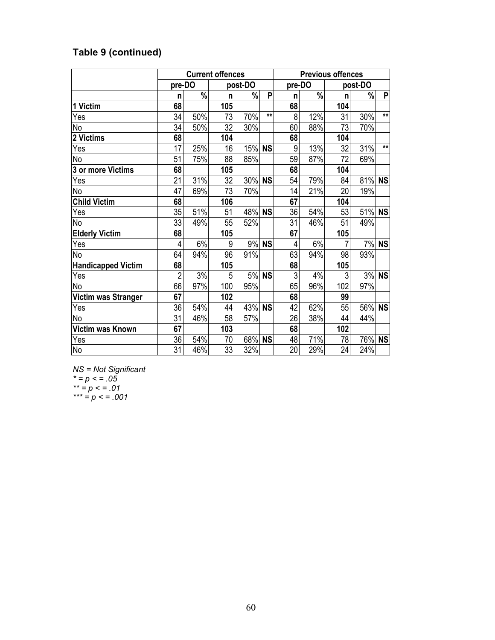## **Table 9 (continued)**

|                           | <b>Current offences</b> |               |     |         |           |        | <b>Previous offences</b> |                 |         |           |  |  |
|---------------------------|-------------------------|---------------|-----|---------|-----------|--------|--------------------------|-----------------|---------|-----------|--|--|
|                           | pre-DO                  |               |     | post-DO |           | pre-DO |                          |                 | post-DO |           |  |  |
|                           | n                       | %             | n   | %       | P         | n      | $\%$                     | n               | %       | P         |  |  |
| 1 Victim                  | 68                      |               | 105 |         |           | 68     |                          | 104             |         |           |  |  |
| Yes                       | 34                      | 50%           | 73  | 70%     | $**$      | 8      | 12%                      | 31              | 30%     | $**$      |  |  |
| No                        | 34                      | 50%           | 32  | 30%     |           | 60     | 88%                      | 73              | 70%     |           |  |  |
| 2 Victims                 | 68                      |               | 104 |         |           | 68     |                          | 104             |         |           |  |  |
| Yes                       | 17                      | 25%           | 16  | 15%     | <b>NS</b> | 9      | 13%                      | 32              | 31%     | $***$     |  |  |
| No                        | 51                      | 75%           | 88  | 85%     |           | 59     | 87%                      | $\overline{72}$ | 69%     |           |  |  |
| 3 or more Victims         | 68                      |               | 105 |         |           | 68     |                          | 104             |         |           |  |  |
| Yes                       | 21                      | 31%           | 32  | 30% NS  |           | 54     | 79%                      | 84              | 81%     | <b>NS</b> |  |  |
| No                        | 47                      | 69%           | 73  | 70%     |           | 14     | 21%                      | 20              | 19%     |           |  |  |
| <b>Child Victim</b>       | 68                      |               | 106 |         |           | 67     |                          | 104             |         |           |  |  |
| Yes                       | 35                      | 51%           | 51  | 48% NS  |           | 36     | 54%                      | 53              | 51% NS  |           |  |  |
| No                        | 33                      | 49%           | 55  | 52%     |           | 31     | 46%                      | 51              | 49%     |           |  |  |
| <b>Elderly Victim</b>     | 68                      |               | 105 |         |           | 67     |                          | 105             |         |           |  |  |
| Yes                       | 4                       | 6%            | 9   |         | 9% NS     | 4      | 6%                       | $\overline{7}$  | 7%      | <b>NS</b> |  |  |
| <b>No</b>                 | 64                      | 94%           | 96  | 91%     |           | 63     | 94%                      | 98              | 93%     |           |  |  |
| <b>Handicapped Victim</b> | 68                      |               | 105 |         |           | 68     |                          | 105             |         |           |  |  |
| Yes                       | $\overline{2}$          | $\frac{3}{8}$ | 5   | 5%      | <b>NS</b> | 3      | 4%                       | 3               |         | 3% NS     |  |  |
| <b>No</b>                 | 66                      | 97%           | 100 | 95%     |           | 65     | 96%                      | 102             | 97%     |           |  |  |
| Victim was Stranger       | 67                      |               | 102 |         |           | 68     |                          | 99              |         |           |  |  |
| Yes                       | 36                      | 54%           | 44  | 43% NS  |           | 42     | 62%                      | 55              | 56%     | <b>NS</b> |  |  |
| No                        | 31                      | 46%           | 58  | 57%     |           | 26     | 38%                      | 44              | 44%     |           |  |  |
| Victim was Known          | 67                      |               | 103 |         |           | 68     |                          | 102             |         |           |  |  |
| Yes                       | 36                      | 54%           | 70  | 68%     | <b>NS</b> | 48     | 71%                      | 78              | 76%     | <b>NS</b> |  |  |
| <b>No</b>                 | 31                      | 46%           | 33  | 32%     |           | 20     | 29%                      | 24              | 24%     |           |  |  |

*NS = Not Significant \* = p < = .05 \*\* = p < = .01*

*\*\*\* = p < = .001*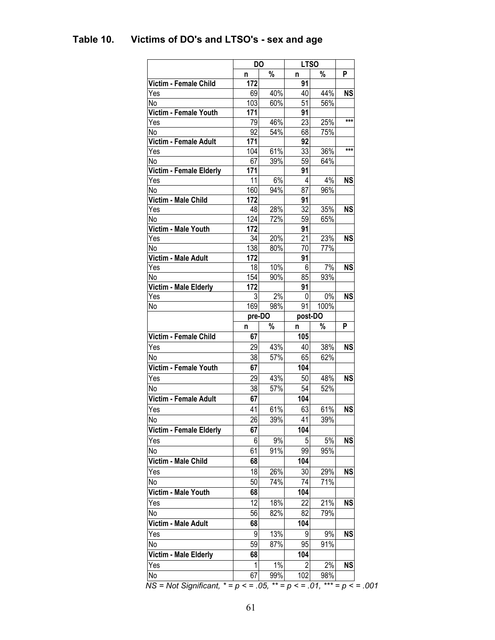|                                                                                                     | <b>DO</b> |       | <b>LTSO</b>    |      |           |
|-----------------------------------------------------------------------------------------------------|-----------|-------|----------------|------|-----------|
|                                                                                                     | n         | %     | n              | %    | P         |
| Victim - Female Child                                                                               | 172       |       | 91             |      |           |
| Yes                                                                                                 | 69        | 40%   | 40             | 44%  | <b>NS</b> |
| No                                                                                                  | 103       | 60%   | 51             | 56%  |           |
| Victim - Female Youth                                                                               | 171       |       | 91             |      |           |
| Yes                                                                                                 | 79        | 46%   | 23             | 25%  | ***       |
| No                                                                                                  | 92        | 54%   | 68             | 75%  |           |
| Victim - Female Adult                                                                               | 171       |       | 92             |      |           |
| Yes                                                                                                 | 104       | 61%   | 33             | 36%  | ***       |
| No                                                                                                  | 67        | 39%   | 59             | 64%  |           |
| Victim - Female Elderly                                                                             | 171       |       | 91             |      |           |
| Yes                                                                                                 | 11        | 6%    | 4              | 4%   | <b>NS</b> |
| No                                                                                                  | 160       | 94%   | 87             | 96%  |           |
| Victim - Male Child                                                                                 | 172       |       | 91             |      |           |
| Yes                                                                                                 | 48        | 28%   | 32             | 35%  | <b>NS</b> |
| No                                                                                                  | 124       | 72%   | 59             | 65%  |           |
| Victim - Male Youth                                                                                 | 172       |       | 91             |      |           |
| Yes                                                                                                 | 34        | 20%   | 21             | 23%  | <b>NS</b> |
| No                                                                                                  | 138       | 80%   | 70             | 77%  |           |
| Victim - Male Adult                                                                                 | 172       |       | 91             |      |           |
| Yes                                                                                                 | 18        | 10%   | 6              | 7%   | <b>NS</b> |
| No                                                                                                  | 154       | 90%   | 85             | 93%  |           |
| Victim - Male Elderly                                                                               | 172       |       | 91             |      |           |
| Yes                                                                                                 | 3         | 2%    | 0              | 0%   | <b>NS</b> |
| No                                                                                                  | 169       | 98%   | 91             | 100% |           |
|                                                                                                     | pre-DO    |       | post-DO        |      |           |
|                                                                                                     | n         | %     | n              | %    | P         |
| Victim - Female Child                                                                               | 67        |       | 105            |      |           |
| Yes                                                                                                 | 29        | 43%   | 40             | 38%  | <b>NS</b> |
| No                                                                                                  | 38        | 57%   | 65             | 62%  |           |
| Victim - Female Youth                                                                               | 67        |       | 104            |      |           |
| Yes                                                                                                 | 29        | 43%   | 50             | 48%  | <b>NS</b> |
| No                                                                                                  | 38        | 57%   | 54             | 52%  |           |
| <b>Victim - Female Adult</b>                                                                        | 67        |       | 104            |      |           |
| Yes                                                                                                 |           |       |                |      |           |
|                                                                                                     | 41        |       |                | 61%  | <b>NS</b> |
|                                                                                                     |           | 61%   | 63             |      |           |
|                                                                                                     | 26        | 39%   | 41             | 39%  |           |
|                                                                                                     | 67        |       | 104            |      |           |
|                                                                                                     | 6         | 9%    | 5              | 5%   | <b>NS</b> |
|                                                                                                     | 61        | 91%   | 99             | 95%  |           |
|                                                                                                     | 68        |       | 104            |      |           |
|                                                                                                     | 18        | 26%   | 30             | 29%  | <b>NS</b> |
|                                                                                                     | 50        | 74%   | 74             | 71%  |           |
|                                                                                                     | 68        |       | 104            |      |           |
|                                                                                                     | 12        | 18%   | 22             | 21%  | <b>NS</b> |
|                                                                                                     | 56        | 82%   | 82             | 79%  |           |
| Victim - Male Child<br>Yes<br>Victim - Male Adult                                                   | 68        |       | 104            |      |           |
|                                                                                                     | 9         | 13%   | 9              | 9%   | <b>NS</b> |
| Victim - Male Youth<br>Yes<br>Yes                                                                   | 59        | 87%   | 95             | 91%  |           |
|                                                                                                     | 68        |       | 104            |      |           |
| No<br><b>Victim - Female Elderly</b><br>Yes<br>No<br>No<br>No<br>No<br>Victim - Male Elderly<br>Yes | 1         | $1\%$ | $\overline{2}$ | 2%   | <b>NS</b> |

## <span id="page-67-0"></span>**Table 10. Victims of DO's and LTSO's - sex and age**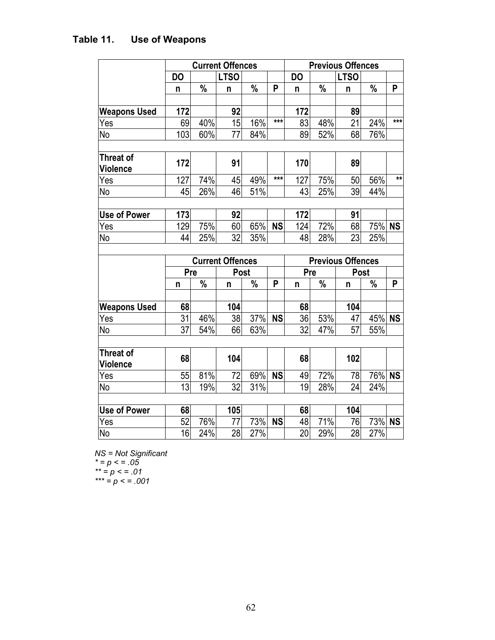|                                     |           |               | <b>Current Offences</b> |      |           | <b>Previous Offences</b> |      |                          |        |       |
|-------------------------------------|-----------|---------------|-------------------------|------|-----------|--------------------------|------|--------------------------|--------|-------|
|                                     | <b>DO</b> |               | <b>LTSO</b>             |      |           | <b>DO</b>                |      | <b>LTSO</b>              |        |       |
|                                     | n         | $\%$          | n                       | $\%$ | P         | n                        | $\%$ | n                        | $\%$   | P     |
|                                     |           |               |                         |      |           |                          |      |                          |        |       |
| <b>Weapons Used</b>                 | 172       |               | 92                      |      |           | 172                      |      | 89                       |        |       |
| Yes                                 | 69        | 40%           | 15                      | 16%  | $***$     | 83                       | 48%  | 21                       | 24%    | $***$ |
| No                                  | 103       | 60%           | $\overline{77}$         | 84%  |           | 89                       | 52%  | 68                       | 76%    |       |
|                                     |           |               |                         |      |           |                          |      |                          |        |       |
| <b>Threat of</b><br>Violence        | 172       |               | 91                      |      |           | 170                      |      | 89                       |        |       |
| Yes                                 | 127       | 74%           | 45                      | 49%  | $***$     | 127                      | 75%  | 50                       | 56%    | $**$  |
| No                                  | 45        | 26%           | 46                      | 51%  |           | 43                       | 25%  | 39                       | 44%    |       |
|                                     |           |               |                         |      |           |                          |      |                          |        |       |
| <b>Use of Power</b>                 | 173       |               | 92                      |      |           | 172                      |      | 91                       |        |       |
| Yes                                 | 129       | 75%           | 60                      | 65%  | <b>NS</b> | 124                      | 72%  | 68                       | 75% NS |       |
| No                                  | 44        | 25%           | 32                      | 35%  |           | 48                       | 28%  | 23                       | 25%    |       |
|                                     |           |               |                         |      |           |                          |      |                          |        |       |
|                                     |           |               | <b>Current Offences</b> |      |           |                          |      | <b>Previous Offences</b> |        |       |
|                                     | Pre       |               | Post                    |      |           | Pre                      |      | Post                     |        |       |
|                                     | n         | $\frac{0}{0}$ | n                       | %    | P         | n                        | $\%$ | $\mathsf{n}$             | %      | P     |
| <b>Weapons Used</b>                 | 68        |               | 104                     |      |           | 68                       |      | 104                      |        |       |
| Yes                                 | 31        | 46%           | 38                      | 37%  | <b>NS</b> | 36                       | 53%  | 47                       | 45% NS |       |
| No                                  | 37        | 54%           | 66                      | 63%  |           | 32                       | 47%  | 57                       | 55%    |       |
|                                     |           |               |                         |      |           |                          |      |                          |        |       |
| <b>Threat of</b><br><b>Violence</b> | 68        |               | 104                     |      |           | 68                       |      | 102                      |        |       |
| Yes                                 | 55        | 81%           | 72                      | 69%  | <b>NS</b> | 49                       | 72%  | 78                       | 76% NS |       |
| No                                  | 13        | 19%           | 32                      | 31%  |           | 19                       | 28%  | 24                       | 24%    |       |
|                                     |           |               |                         |      |           |                          |      |                          |        |       |
| <b>Use of Power</b>                 | 68        |               | 105                     |      |           | 68                       |      | 104                      |        |       |
| Yes                                 | 52        | 76%           | 77                      | 73%  | <b>NS</b> | 48                       | 71%  | 76                       | 73% NS |       |
| N <sub>o</sub>                      | 16        | 24%           | 28                      | 27%  |           | 20                       | 29%  | 28                       | 27%    |       |

# <span id="page-68-0"></span>**Table 11. Use of Weapons**

*NS = Not Significant*

*\* = p < = .05*

*\*\* = p < = .01*

*\*\*\* = p < = .001*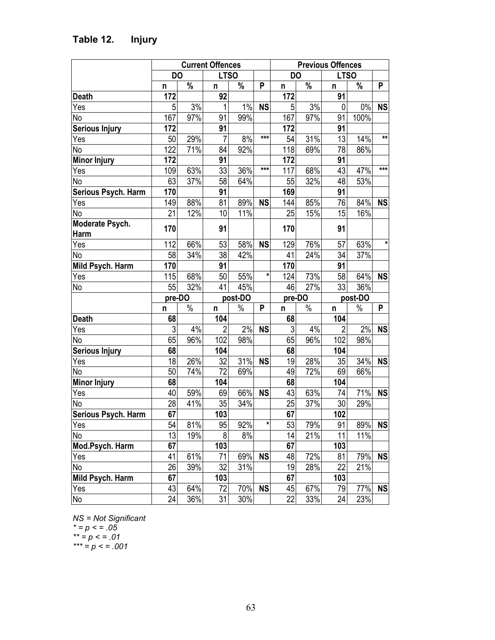|                       |                 |                                                      | <b>Current Offences</b> |      | <b>Previous Offences</b>  |                |                 |                 |       |              |
|-----------------------|-----------------|------------------------------------------------------|-------------------------|------|---------------------------|----------------|-----------------|-----------------|-------|--------------|
|                       |                 | <b>DO</b><br><b>LTSO</b><br><b>DO</b><br><b>LTSO</b> |                         |      |                           |                |                 |                 |       |              |
|                       | n               | $\%$                                                 | n                       | $\%$ | $\boldsymbol{\mathsf{P}}$ | n              | $\%$            | n               | $\%$  | P            |
| <b>Death</b>          | 172             |                                                      | 92                      |      |                           | 172            |                 | 91              |       |              |
| Yes                   | 5               | 3%                                                   | $\mathbf{1}$            | 1%   | <b>NS</b>                 | 5              | $\frac{3}{8}$   | 0               | $0\%$ | <b>NS</b>    |
| No                    | 167             | 97%                                                  | 91                      | 99%  |                           | 167            | 97%             | 91              | 100%  |              |
| <b>Serious Injury</b> | 172             |                                                      | 91                      |      |                           | 172            |                 | 91              |       |              |
| Yes                   | 50              | 29%                                                  | $\overline{7}$          | 8%   | $***$                     | 54             | 31%             | 13              | 14%   | $\star\star$ |
| No                    | 122             | 71%                                                  | 84                      | 92%  |                           | 118            | 69%             | 78              | 86%   |              |
| <b>Minor Injury</b>   | 172             |                                                      | 91                      |      |                           | 172            |                 | 91              |       |              |
| Yes                   | 109             | 63%                                                  | 33                      | 36%  | $***$                     | 117            | 68%             | 43              | 47%   | ***          |
| N <sub>o</sub>        | 63              | 37%                                                  | 58                      | 64%  |                           | 55             | 32%             | 48              | 53%   |              |
| Serious Psych. Harm   | 170             |                                                      | 91                      |      |                           | 169            |                 | 91              |       |              |
| Yes                   | 149             | 88%                                                  | 81                      | 89%  | <b>NS</b>                 | 144            | 85%             | 76              | 84%   | <b>NS</b>    |
| No                    | 21              | 12%                                                  | 10                      | 11%  |                           | 25             | 15%             | 15              | 16%   |              |
| Moderate Psych.       |                 |                                                      |                         |      |                           |                |                 |                 |       |              |
| Harm                  | 170             |                                                      | 91                      |      |                           | 170            |                 | 91              |       |              |
| Yes                   | 112             | 66%                                                  | 53                      | 58%  | <b>NS</b>                 | 129            | 76%             | 57              | 63%   | $\star$      |
| <b>No</b>             | 58              | 34%                                                  | $\overline{38}$         | 42%  |                           | 41             | 24%             | 34              | 37%   |              |
| Mild Psych. Harm      | 170             |                                                      | 91                      |      |                           | 170            |                 | 91              |       |              |
| Yes                   | 115             | 68%                                                  | 50                      | 55%  | $\star$                   | 124            | 73%             | $\overline{58}$ | 64%   | <b>NS</b>    |
| No                    | 55              | 32%                                                  | 41                      | 45%  |                           | 46             | 27%             | 33              | 36%   |              |
|                       | pre-DO          |                                                      | post-DO                 |      | pre-DO                    |                | post-DO         |                 |       |              |
|                       | n               | $\%$                                                 | n                       | $\%$ | P                         | n              | $\%$            | n               | $\%$  | P            |
| <b>Death</b>          | 68              |                                                      | 104                     |      |                           | 68             |                 | 104             |       |              |
| Yes                   | $\sqrt{3}$      | 4%                                                   | $\overline{c}$          | 2%   | <b>NS</b>                 | $\mathfrak{Z}$ | 4%              | $\overline{2}$  | 2%    | <b>NS</b>    |
| No                    | 65              | 96%                                                  | $10\overline{2}$        | 98%  |                           | 65             | 96%             | 102             | 98%   |              |
| <b>Serious Injury</b> | 68              |                                                      | 104                     |      |                           | 68             |                 | 104             |       |              |
| Yes                   | 18              | 26%                                                  | 32                      | 31%  | <b>NS</b>                 | 19             | 28%             | 35              | 34%   | <b>NS</b>    |
| No                    | 50              | 74%                                                  | 72                      | 69%  |                           | 49             | 72%             | 69              | 66%   |              |
| <b>Minor Injury</b>   | 68              |                                                      | 104                     |      |                           | 68             |                 | 104             |       |              |
| Yes                   | 40              | 59%                                                  | 69                      | 66%  | <b>NS</b>                 | 43             | 63%             | 74              | 71%   | <b>NS</b>    |
| No                    | $\overline{28}$ | 41%                                                  | 35                      | 34%  |                           | 25             | 37%             | 30              | 29%   |              |
| Serious Psych. Harm   | 67              |                                                      | 103                     |      |                           | 67             |                 | 102             |       |              |
| Yes                   | 54              | 81%                                                  | 95                      | 92%  | $\ast$                    | 53             | 79%             | 91              | 89%   | <b>NS</b>    |
| No                    | 13              | 19%                                                  | 8                       | 8%   |                           | 14             | $\frac{1}{21%}$ | 11              | 11%   |              |
| Mod.Psych. Harm       | 67              |                                                      | 103                     |      |                           | 67             |                 | 103             |       |              |
| Yes                   | 41              | 61%                                                  | $\overline{71}$         | 69%  | <b>NS</b>                 | 48             | 72%             | 81              | 79%   | <b>NS</b>    |
| No                    | 26              | 39%                                                  | 32                      | 31%  |                           | 19             | 28%             | 22              | 21%   |              |
| Mild Psych. Harm      | 67              |                                                      | 103                     |      |                           | 67             |                 | 103             |       |              |
| Yes                   | 43              | 64%                                                  | 72                      | 70%  | <b>NS</b>                 | 45             | 67%             | 79              | 77%   | <b>NS</b>    |
| No                    | 24              | 36%                                                  | $\overline{31}$         | 30%  |                           | 22             | 33%             | 24              | 23%   |              |

## <span id="page-69-0"></span>**Table 12. Injury**

*NS = Not Significant*

*\* = p < = .05*

*\*\* = p < = .01*

*\*\*\* = p < = .001*